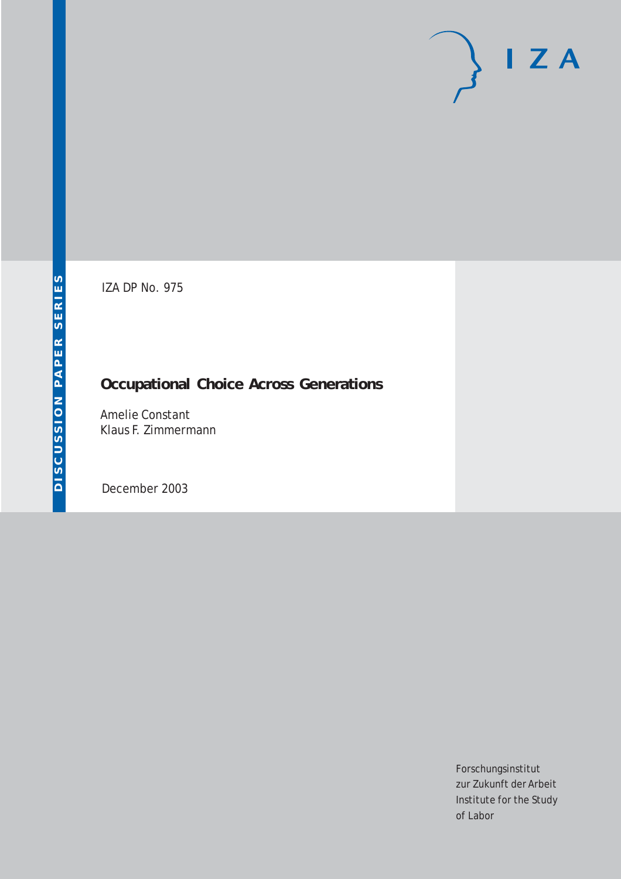# $I Z A$

IZA DP No. 975

## **Occupational Choice Across Generations**

Amelie Constant Klaus F. Zimmermann

December 2003

Forschungsinstitut zur Zukunft der Arbeit Institute for the Study of Labor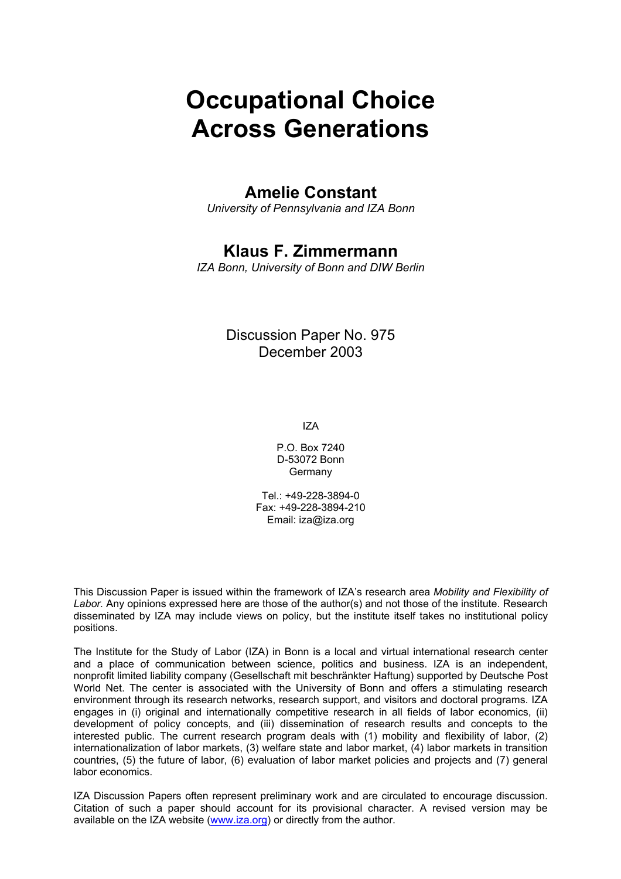# **Occupational Choice Across Generations**

## **Amelie Constant**

*University of Pennsylvania and IZA Bonn* 

## **Klaus F. Zimmermann**

*IZA Bonn, University of Bonn and DIW Berlin* 

#### Discussion Paper No. 975 December 2003

IZA

P.O. Box 7240 D-53072 Bonn **Germany** 

Tel.: +49-228-3894-0 Fax: +49-228-3894-210 Email: [iza@iza.org](mailto:iza@iza.org)

This Discussion Paper is issued within the framework of IZA's research area *Mobility and Flexibility of Labor.* Any opinions expressed here are those of the author(s) and not those of the institute. Research disseminated by IZA may include views on policy, but the institute itself takes no institutional policy positions.

The Institute for the Study of Labor (IZA) in Bonn is a local and virtual international research center and a place of communication between science, politics and business. IZA is an independent, nonprofit limited liability company (Gesellschaft mit beschränkter Haftung) supported by Deutsche Post World Net. The center is associated with the University of Bonn and offers a stimulating research environment through its research networks, research support, and visitors and doctoral programs. IZA engages in (i) original and internationally competitive research in all fields of labor economics, (ii) development of policy concepts, and (iii) dissemination of research results and concepts to the interested public. The current research program deals with (1) mobility and flexibility of labor, (2) internationalization of labor markets, (3) welfare state and labor market, (4) labor markets in transition countries, (5) the future of labor, (6) evaluation of labor market policies and projects and (7) general labor economics.

IZA Discussion Papers often represent preliminary work and are circulated to encourage discussion. Citation of such a paper should account for its provisional character. A revised version may be available on the IZA website ([www.iza.org](http://www.iza.org/)) or directly from the author.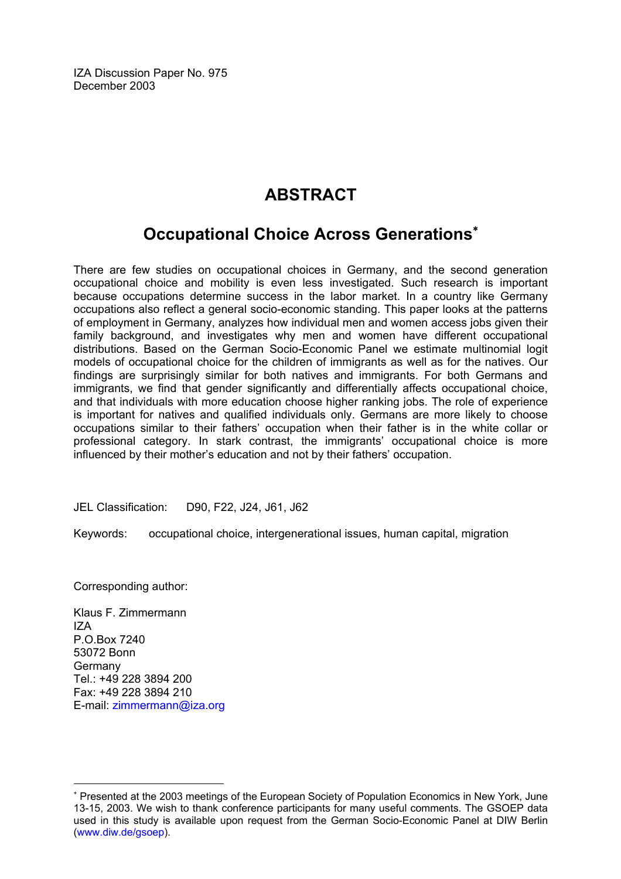IZA Discussion Paper No. 975 December 2003

## **ABSTRACT**

## **Occupational Choice Across Generations**[∗](#page-2-0)

There are few studies on occupational choices in Germany, and the second generation occupational choice and mobility is even less investigated. Such research is important because occupations determine success in the labor market. In a country like Germany occupations also reflect a general socio-economic standing. This paper looks at the patterns of employment in Germany, analyzes how individual men and women access jobs given their family background, and investigates why men and women have different occupational distributions. Based on the German Socio-Economic Panel we estimate multinomial logit models of occupational choice for the children of immigrants as well as for the natives. Our findings are surprisingly similar for both natives and immigrants. For both Germans and immigrants, we find that gender significantly and differentially affects occupational choice, and that individuals with more education choose higher ranking jobs. The role of experience is important for natives and qualified individuals only. Germans are more likely to choose occupations similar to their fathers' occupation when their father is in the white collar or professional category. In stark contrast, the immigrants' occupational choice is more influenced by their mother's education and not by their fathers' occupation.

JEL Classification: D90, F22, J24, J61, J62

Keywords: occupational choice, intergenerational issues, human capital, migration

Corresponding author:

Klaus F. Zimmermann  $17\Delta$ P.O.Box 7240 53072 Bonn Germany Tel.: +49 228 3894 200 Fax: +49 228 3894 210 E-mail: [zimmermann@iza.org](mailto:zimmermann@iza.org)

 $\overline{a}$ 

<span id="page-2-0"></span><sup>∗</sup> Presented at the 2003 meetings of the European Society of Population Economics in New York, June 13-15, 2003. We wish to thank conference participants for many useful comments. The GSOEP data used in this study is available upon request from the German Socio-Economic Panel at DIW Berlin ([www.diw.de/gsoep](http://www.diw.de/gsoep)).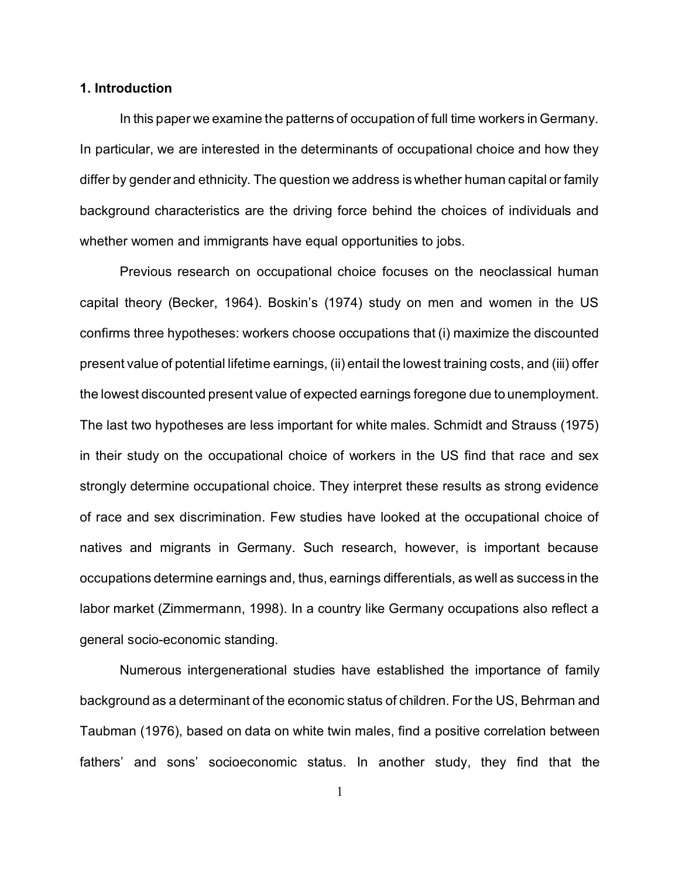#### **1. Introduction**

In this paper we examine the patterns of occupation of full time workers in Germany. In particular, we are interested in the determinants of occupational choice and how they differ by gender and ethnicity. The question we address is whether human capital or family background characteristics are the driving force behind the choices of individuals and whether women and immigrants have equal opportunities to jobs.

Previous research on occupational choice focuses on the neoclassical human capital theory (Becker, 1964). Boskin's (1974) study on men and women in the US confirms three hypotheses: workers choose occupations that (i) maximize the discounted present value of potential lifetime earnings, (ii) entail the lowest training costs, and (iii) offer the lowest discounted present value of expected earnings foregone due to unemployment. The last two hypotheses are less important for white males. Schmidt and Strauss (1975) in their study on the occupational choice of workers in the US find that race and sex strongly determine occupational choice. They interpret these results as strong evidence of race and sex discrimination. Few studies have looked at the occupational choice of natives and migrants in Germany. Such research, however, is important because occupations determine earnings and, thus, earnings differentials, as well as success in the labor market (Zimmermann, 1998). In a country like Germany occupations also reflect a general socio-economic standing.

Numerous intergenerational studies have established the importance of family background as a determinant of the economic status of children. For the US, Behrman and Taubman (1976), based on data on white twin males, find a positive correlation between fathers' and sons' socioeconomic status. In another study, they find that the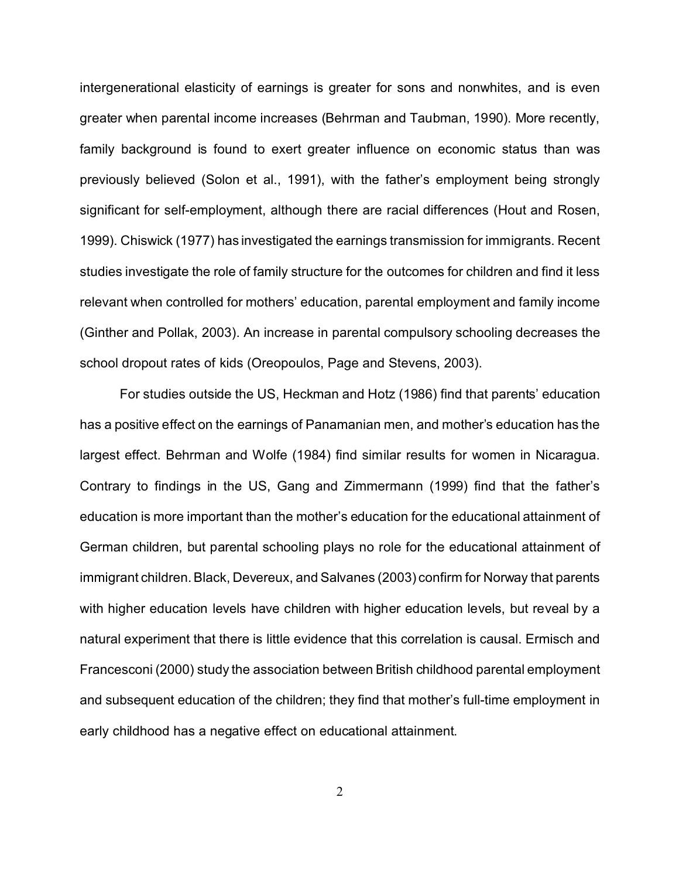intergenerational elasticity of earnings is greater for sons and nonwhites, and is even greater when parental income increases (Behrman and Taubman, 1990). More recently, family background is found to exert greater influence on economic status than was previously believed (Solon et al., 1991), with the father's employment being strongly significant for self-employment, although there are racial differences (Hout and Rosen, 1999). Chiswick (1977) has investigated the earnings transmission for immigrants. Recent studies investigate the role of family structure for the outcomes for children and find it less relevant when controlled for mothers' education, parental employment and family income (Ginther and Pollak, 2003). An increase in parental compulsory schooling decreases the school dropout rates of kids (Oreopoulos, Page and Stevens, 2003).

For studies outside the US, Heckman and Hotz (1986) find that parents' education has a positive effect on the earnings of Panamanian men, and mother's education has the largest effect. Behrman and Wolfe (1984) find similar results for women in Nicaragua. Contrary to findings in the US, Gang and Zimmermann (1999) find that the father's education is more important than the mother's education for the educational attainment of German children, but parental schooling plays no role for the educational attainment of immigrant children. Black, Devereux, and Salvanes (2003) confirm for Norway that parents with higher education levels have children with higher education levels, but reveal by a natural experiment that there is little evidence that this correlation is causal. Ermisch and Francesconi (2000) study the association between British childhood parental employment and subsequent education of the children; they find that mother's full-time employment in early childhood has a negative effect on educational attainment.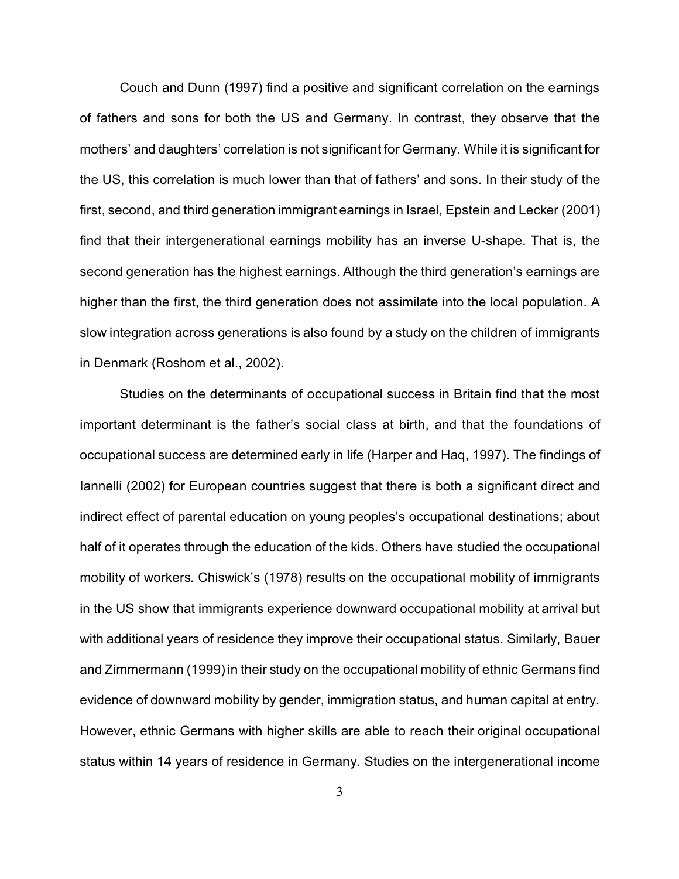Couch and Dunn (1997) find a positive and significant correlation on the earnings of fathers and sons for both the US and Germany. In contrast, they observe that the mothers' and daughters' correlation is not significant for Germany. While it is significant for the US, this correlation is much lower than that of fathers' and sons. In their study of the first, second, and third generation immigrant earnings in Israel, Epstein and Lecker (2001) find that their intergenerational earnings mobility has an inverse U-shape. That is, the second generation has the highest earnings. Although the third generation's earnings are higher than the first, the third generation does not assimilate into the local population. A slow integration across generations is also found by a study on the children of immigrants in Denmark (Roshom et al., 2002).

Studies on the determinants of occupational success in Britain find that the most important determinant is the father's social class at birth, and that the foundations of occupational success are determined early in life (Harper and Haq, 1997). The findings of Iannelli (2002) for European countries suggest that there is both a significant direct and indirect effect of parental education on young peoples's occupational destinations; about half of it operates through the education of the kids. Others have studied the occupational mobility of workers. Chiswick's (1978) results on the occupational mobility of immigrants in the US show that immigrants experience downward occupational mobility at arrival but with additional years of residence they improve their occupational status. Similarly, Bauer and Zimmermann (1999) in their study on the occupational mobility of ethnic Germans find evidence of downward mobility by gender, immigration status, and human capital at entry. However, ethnic Germans with higher skills are able to reach their original occupational status within 14 years of residence in Germany. Studies on the intergenerational income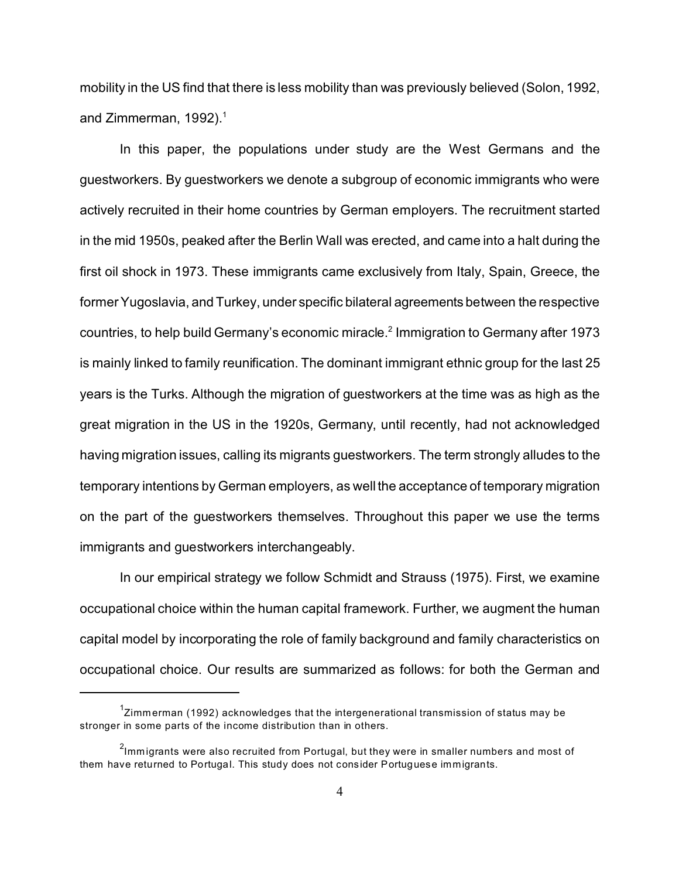mobility in the US find that there is less mobility than was previously believed (Solon, 1992, and Zimmerman, 1992).<sup>1</sup>

In this paper, the populations under study are the West Germans and the guestworkers. By guestworkers we denote a subgroup of economic immigrants who were actively recruited in their home countries by German employers. The recruitment started in the mid 1950s, peaked after the Berlin Wall was erected, and came into a halt during the first oil shock in 1973. These immigrants came exclusively from Italy, Spain, Greece, the former Yugoslavia, and Turkey, under specific bilateral agreements between the respective countries, to help build Germany's economic miracle.<sup>2</sup> Immigration to Germany after 1973 is mainly linked to family reunification. The dominant immigrant ethnic group for the last 25 years is the Turks. Although the migration of guestworkers at the time was as high as the great migration in the US in the 1920s, Germany, until recently, had not acknowledged having migration issues, calling its migrants guestworkers. The term strongly alludes to the temporary intentions by German employers, as well the acceptance of temporary migration on the part of the guestworkers themselves. Throughout this paper we use the terms immigrants and guestworkers interchangeably.

In our empirical strategy we follow Schmidt and Strauss (1975). First, we examine occupational choice within the human capital framework. Further, we augment the human capital model by incorporating the role of family background and family characteristics on occupational choice. Our results are summarized as follows: for both the German and

 $^{\text{1}}$ Zimmerman (1992) acknowledges that the intergenerational transmission of status may be stronger in some parts of the income distribution than in others.

 $^2$ lmmigrants were also recruited from Portugal, but they were in smaller numbers and most of them have returned to Portugal. This study does not consider Portuguese immigrants.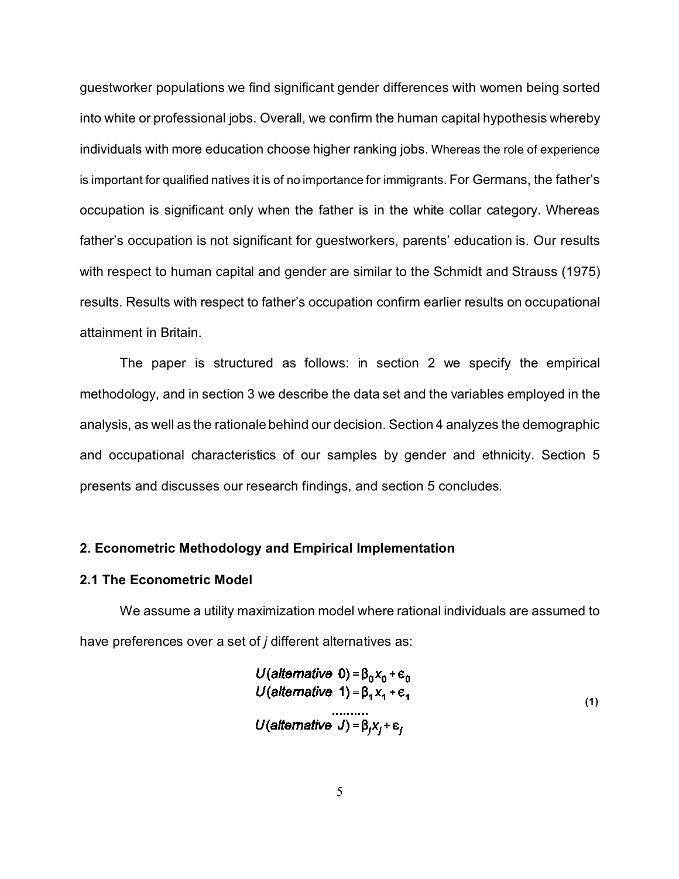guestworker populations we find significant gender differences with women being sorted into white or professional jobs. Overall, we confirm the human capital hypothesis whereby individuals with more education choose higher ranking jobs. Whereas the role of experience is important for qualified natives it is of no importance for immigrants. For Germans, the father's occupation is significant only when the father is in the white collar category. Whereas father's occupation is not significant for guestworkers, parents' education is. Our results with respect to human capital and gender are similar to the Schmidt and Strauss (1975) results. Results with respect to father's occupation confirm earlier results on occupational attainment in Britain.

The paper is structured as follows: in section 2 we specify the empirical methodology, and in section 3 we describe the data set and the variables employed in the analysis, as well as the rationale behind our decision. Section 4 analyzes the demographic and occupational characteristics of our samples by gender and ethnicity. Section 5 presents and discusses our research findings, and section 5 concludes.

#### **2. Econometric Methodology and Empirical Implementation**

#### **2.1 The Econometric Model**

We assume a utility maximization model where rational individuals are assumed to have preferences over a set of *j* different alternatives as:

$$
U(alternative 0) = \beta_0 X_0 + \epsilon_0
$$
  
U(alternative 1) =  $\beta_1 X_1 + \epsilon_1$   
........  
U(alternative J) =  $\beta_j X_j + \epsilon_j$  (1)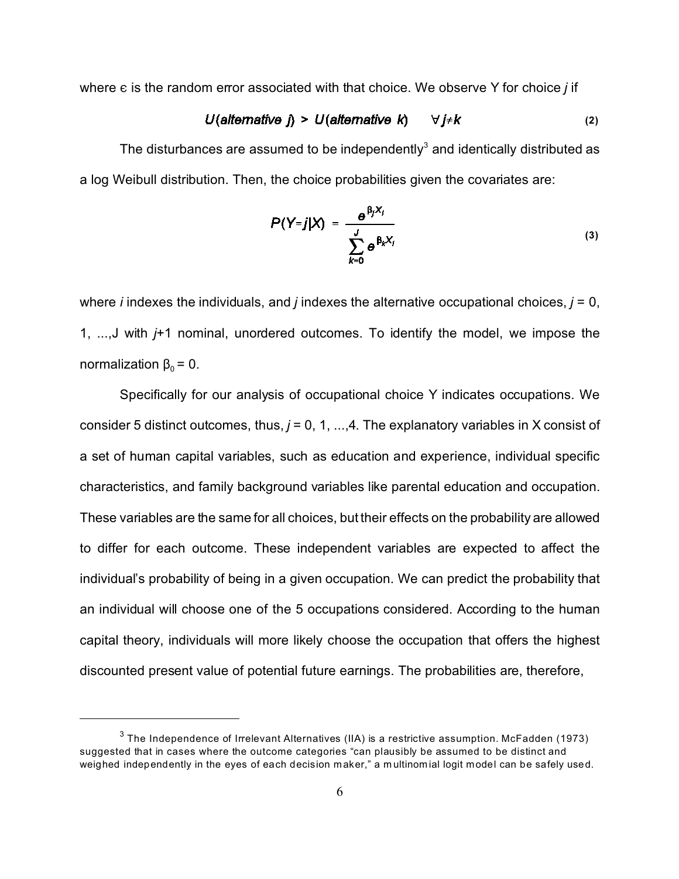where  $\epsilon$  is the random error associated with that choice. We observe Y for choice *j* if

$$
U(alternative j) > U(alternative k) \qquad \forall j \neq k
$$
 (2)

The disturbances are assumed to be independently<sup>3</sup> and identically distributed as a log Weibull distribution. Then, the choice probabilities given the covariates are:

$$
P(Y=j|X) = \frac{e^{\beta_j X_i}}{\sum_{k=0}^{J} e^{\beta_k X_i}}
$$
 (3)

where *i* indexes the individuals, and *j* indexes the alternative occupational choices, *j* = 0, 1, ...,J with *j*+1 nominal, unordered outcomes. To identify the model, we impose the normalization  $\beta_0 = 0$ .

Specifically for our analysis of occupational choice Y indicates occupations. We consider 5 distinct outcomes, thus, *j* = 0, 1, ...,4. The explanatory variables in X consist of a set of human capital variables, such as education and experience, individual specific characteristics, and family background variables like parental education and occupation. These variables are the same for all choices, but their effects on the probability are allowed to differ for each outcome. These independent variables are expected to affect the individual's probability of being in a given occupation. We can predict the probability that an individual will choose one of the 5 occupations considered. According to the human capital theory, individuals will more likely choose the occupation that offers the highest discounted present value of potential future earnings. The probabilities are, therefore,

 $^3$  The Independence of Irrelevant Alternatives (IIA) is a restrictive assumption. McFadden (1973) suggested that in cases where the outcome categories "can plausibly be assumed to be distinct and weighed independently in the eyes of each decision maker," a multinomial logit model can be safely used.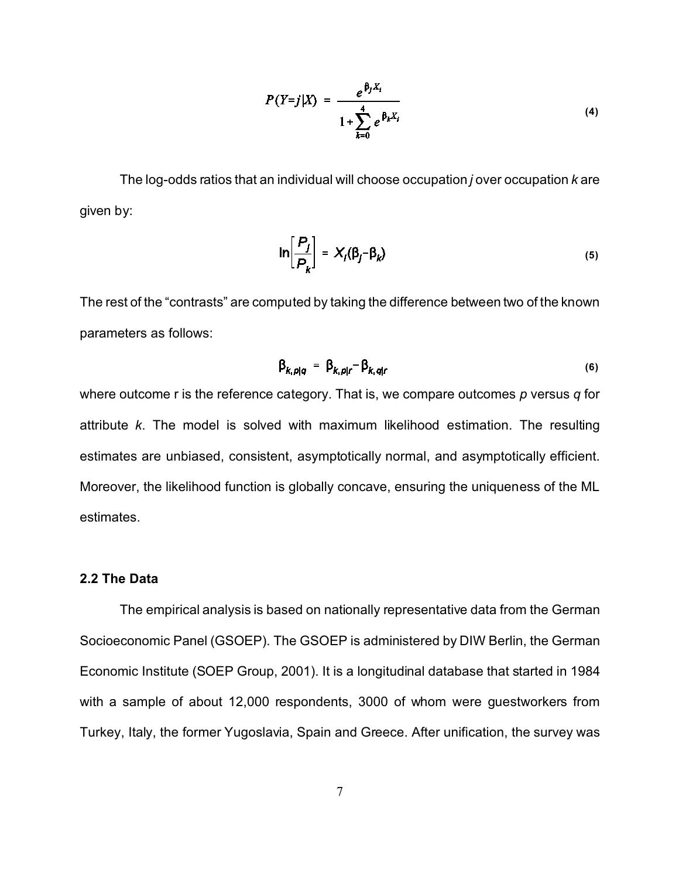$$
P(Y=j|X) = \frac{e^{\beta_j X_i}}{1 + \sum_{k=0}^{4} e^{\beta_k X_i}}
$$
 (4)

The log-odds ratios that an individual will choose occupation *j* over occupation *k* are given by:

$$
\ln\left[\frac{P_j}{P_k}\right] = X_j(\beta_j - \beta_k) \tag{5}
$$

The rest of the "contrasts" are computed by taking the difference between two of the known parameters as follows:

$$
\beta_{k,p|q} = \beta_{k,p|r} - \beta_{k,q|r} \tag{6}
$$

where outcome r is the reference category. That is, we compare outcomes *p* versus *q* for attribute *k*. The model is solved with maximum likelihood estimation. The resulting estimates are unbiased, consistent, asymptotically normal, and asymptotically efficient. Moreover, the likelihood function is globally concave, ensuring the uniqueness of the ML estimates.

#### **2.2 The Data**

The empirical analysis is based on nationally representative data from the German Socioeconomic Panel (GSOEP). The GSOEP is administered by DIW Berlin, the German Economic Institute (SOEP Group, 2001). It is a longitudinal database that started in 1984 with a sample of about 12,000 respondents, 3000 of whom were guestworkers from Turkey, Italy, the former Yugoslavia, Spain and Greece. After unification, the survey was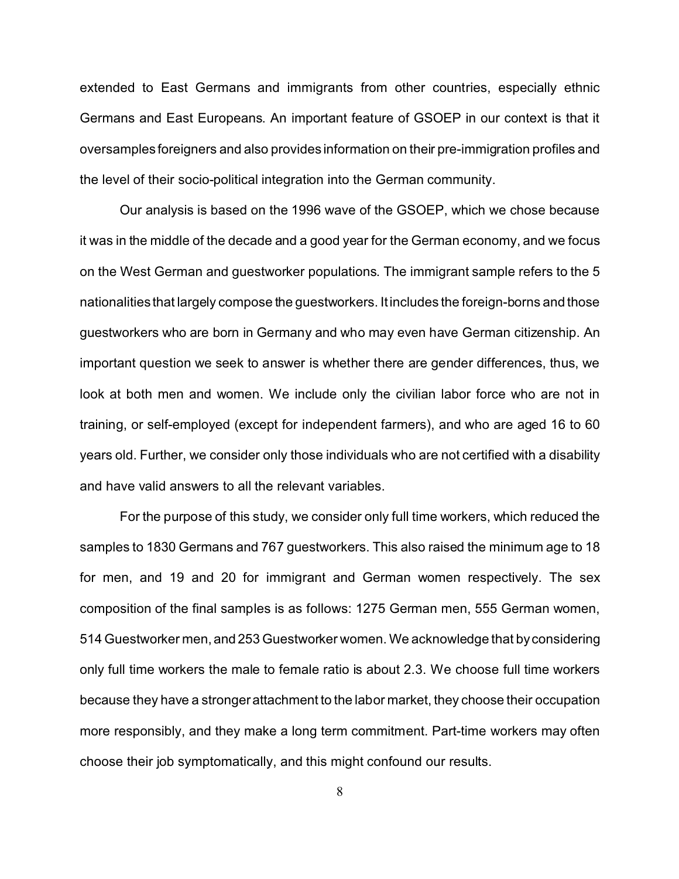extended to East Germans and immigrants from other countries, especially ethnic Germans and East Europeans. An important feature of GSOEP in our context is that it oversamples foreigners and also provides information on their pre-immigration profiles and the level of their socio-political integration into the German community.

Our analysis is based on the 1996 wave of the GSOEP, which we chose because it was in the middle of the decade and a good year for the German economy, and we focus on the West German and guestworker populations. The immigrant sample refers to the 5 nationalities that largely compose the guestworkers. It includes the foreign-borns and those guestworkers who are born in Germany and who may even have German citizenship. An important question we seek to answer is whether there are gender differences, thus, we look at both men and women. We include only the civilian labor force who are not in training, or self-employed (except for independent farmers), and who are aged 16 to 60 years old. Further, we consider only those individuals who are not certified with a disability and have valid answers to all the relevant variables.

For the purpose of this study, we consider only full time workers, which reduced the samples to 1830 Germans and 767 guestworkers. This also raised the minimum age to 18 for men, and 19 and 20 for immigrant and German women respectively. The sex composition of the final samples is as follows: 1275 German men, 555 German women, 514 Guestworker men, and 253 Guestworker women. We acknowledge that by considering only full time workers the male to female ratio is about 2.3. We choose full time workers because they have a stronger attachment to the labor market, they choose their occupation more responsibly, and they make a long term commitment. Part-time workers may often choose their job symptomatically, and this might confound our results.

8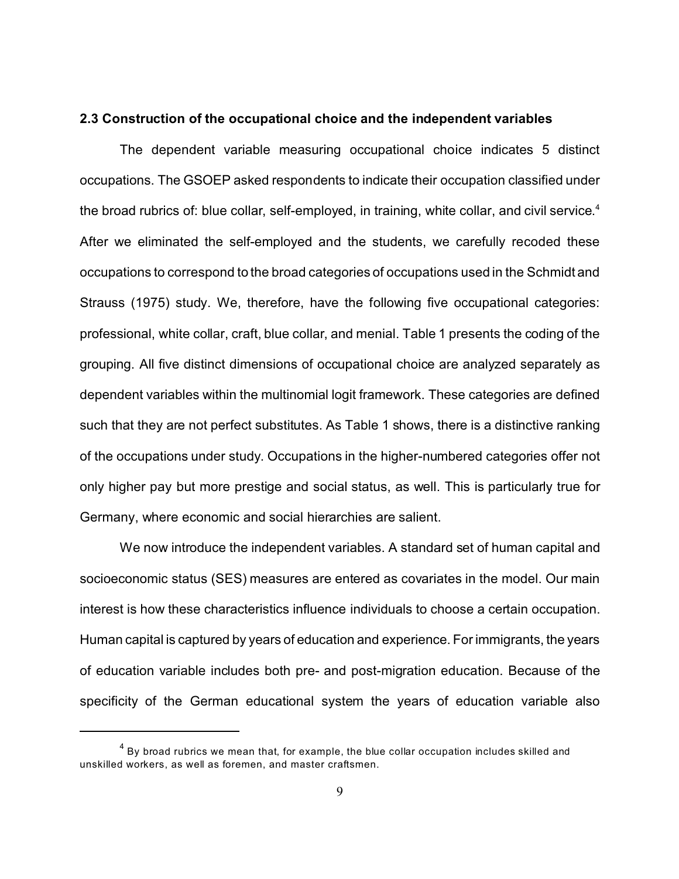#### **2.3 Construction of the occupational choice and the independent variables**

The dependent variable measuring occupational choice indicates 5 distinct occupations. The GSOEP asked respondents to indicate their occupation classified under the broad rubrics of: blue collar, self-employed, in training, white collar, and civil service.<sup>4</sup> After we eliminated the self-employed and the students, we carefully recoded these occupations to correspond to the broad categories of occupations used in the Schmidt and Strauss (1975) study. We, therefore, have the following five occupational categories: professional, white collar, craft, blue collar, and menial. Table 1 presents the coding of the grouping. All five distinct dimensions of occupational choice are analyzed separately as dependent variables within the multinomial logit framework. These categories are defined such that they are not perfect substitutes. As Table 1 shows, there is a distinctive ranking of the occupations under study. Occupations in the higher-numbered categories offer not only higher pay but more prestige and social status, as well. This is particularly true for Germany, where economic and social hierarchies are salient.

We now introduce the independent variables. A standard set of human capital and socioeconomic status (SES) measures are entered as covariates in the model. Our main interest is how these characteristics influence individuals to choose a certain occupation. Human capital is captured by years of education and experience. For immigrants, the years of education variable includes both pre- and post-migration education. Because of the specificity of the German educational system the years of education variable also

 $^{\rm 4}$  By broad rubrics we mean that, for example, the blue collar occupation includes skilled and unskilled workers, as well as foremen, and master craftsmen.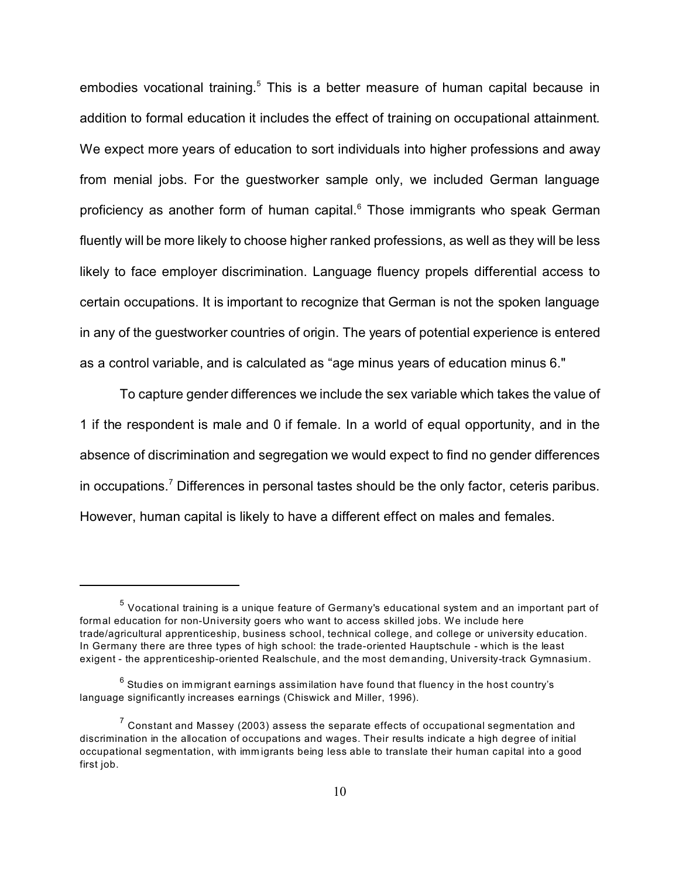embodies vocational training.<sup>5</sup> This is a better measure of human capital because in addition to formal education it includes the effect of training on occupational attainment. We expect more years of education to sort individuals into higher professions and away from menial jobs. For the guestworker sample only, we included German language proficiency as another form of human capital.<sup>6</sup> Those immigrants who speak German fluently will be more likely to choose higher ranked professions, as well as they will be less likely to face employer discrimination. Language fluency propels differential access to certain occupations. It is important to recognize that German is not the spoken language in any of the guestworker countries of origin. The years of potential experience is entered as a control variable, and is calculated as "age minus years of education minus 6."

To capture gender differences we include the sex variable which takes the value of 1 if the respondent is male and 0 if female. In a world of equal opportunity, and in the absence of discrimination and segregation we would expect to find no gender differences in occupations.<sup>7</sup> Differences in personal tastes should be the only factor, ceteris paribus. However, human capital is likely to have a different effect on males and females.

 $^5$  Vocational training is a unique feature of Germany's educational system and an important part of formal education for non-University goers who want to access skilled jobs. We include here trade/agricultural apprenticeship, business school, technical college, and college or university education. In Germany there are three types of high school: the trade-oriented Hauptschule - which is the least exigent - the apprenticeship-oriented Realschule, and the most demanding, University-track Gymnasium.

 $^6$  Studies on immigrant earnings assimilation have found that fluency in the host country's language significantly increases earnings (Chiswick and Miller, 1996).

 $^7$  Constant and Massey (2003) assess the separate effects of occupational segmentation and discrimination in the allocation of occupations and wages. Their results indicate a high degree of initial occupational segmentation, with imm igrants being less able to translate their human capital into a good first job.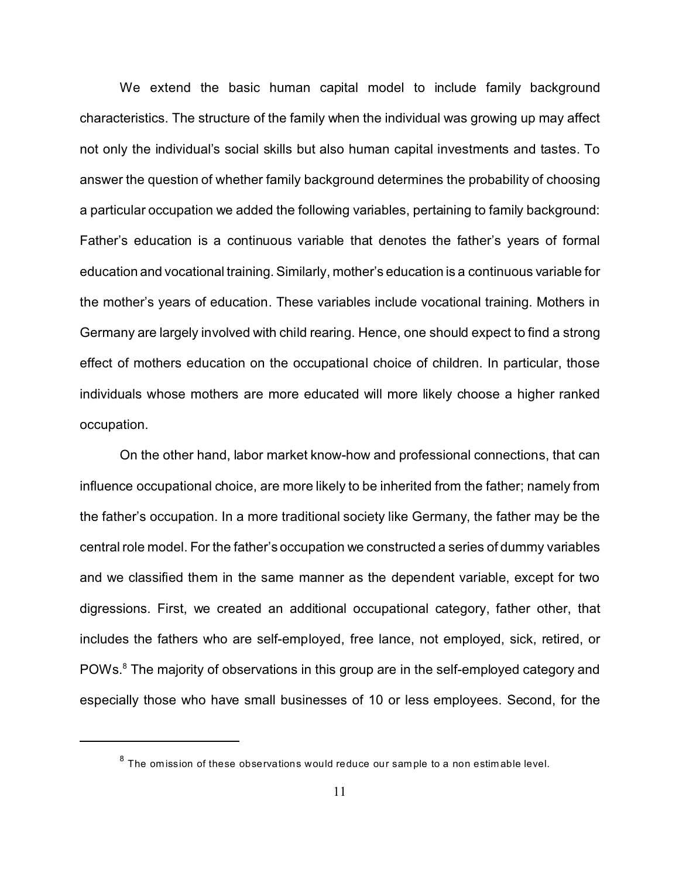We extend the basic human capital model to include family background characteristics. The structure of the family when the individual was growing up may affect not only the individual's social skills but also human capital investments and tastes. To answer the question of whether family background determines the probability of choosing a particular occupation we added the following variables, pertaining to family background: Father's education is a continuous variable that denotes the father's years of formal education and vocational training. Similarly, mother's education is a continuous variable for the mother's years of education. These variables include vocational training. Mothers in Germany are largely involved with child rearing. Hence, one should expect to find a strong effect of mothers education on the occupational choice of children. In particular, those individuals whose mothers are more educated will more likely choose a higher ranked occupation.

On the other hand, labor market know-how and professional connections, that can influence occupational choice, are more likely to be inherited from the father; namely from the father's occupation. In a more traditional society like Germany, the father may be the central role model. For the father's occupation we constructed a series of dummy variables and we classified them in the same manner as the dependent variable, except for two digressions. First, we created an additional occupational category, father other, that includes the fathers who are self-employed, free lance, not employed, sick, retired, or POWs.<sup>8</sup> The majority of observations in this group are in the self-employed category and especially those who have small businesses of 10 or less employees. Second, for the

 $^8$  The omission of these observations would reduce our sample to a non estimable level.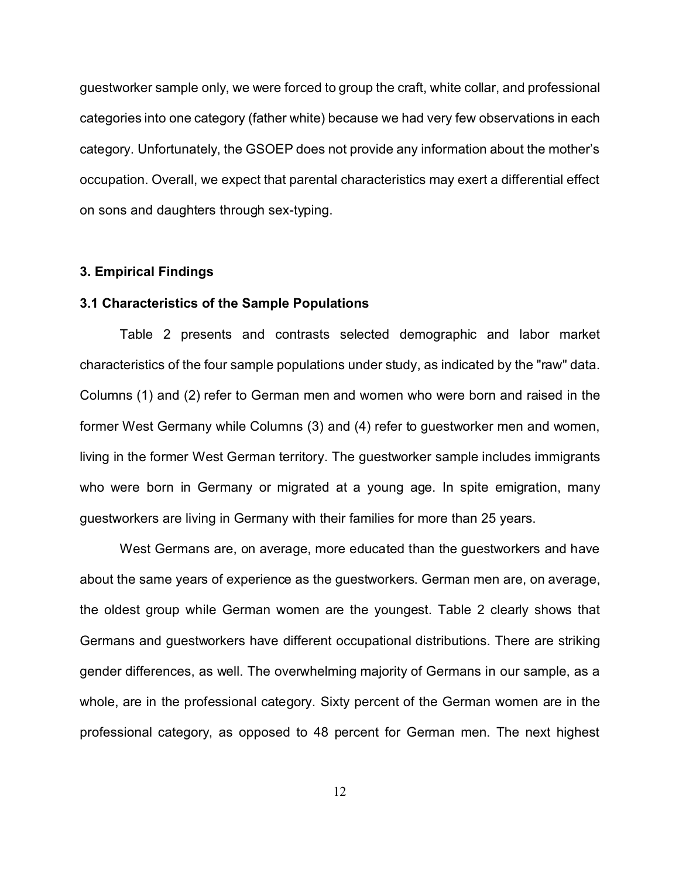guestworker sample only, we were forced to group the craft, white collar, and professional categories into one category (father white) because we had very few observations in each category. Unfortunately, the GSOEP does not provide any information about the mother's occupation. Overall, we expect that parental characteristics may exert a differential effect on sons and daughters through sex-typing.

#### **3. Empirical Findings**

#### **3.1 Characteristics of the Sample Populations**

Table 2 presents and contrasts selected demographic and labor market characteristics of the four sample populations under study, as indicated by the "raw" data. Columns (1) and (2) refer to German men and women who were born and raised in the former West Germany while Columns (3) and (4) refer to guestworker men and women, living in the former West German territory. The guestworker sample includes immigrants who were born in Germany or migrated at a young age. In spite emigration, many guestworkers are living in Germany with their families for more than 25 years.

West Germans are, on average, more educated than the guestworkers and have about the same years of experience as the guestworkers. German men are, on average, the oldest group while German women are the youngest. Table 2 clearly shows that Germans and guestworkers have different occupational distributions. There are striking gender differences, as well. The overwhelming majority of Germans in our sample, as a whole, are in the professional category. Sixty percent of the German women are in the professional category, as opposed to 48 percent for German men. The next highest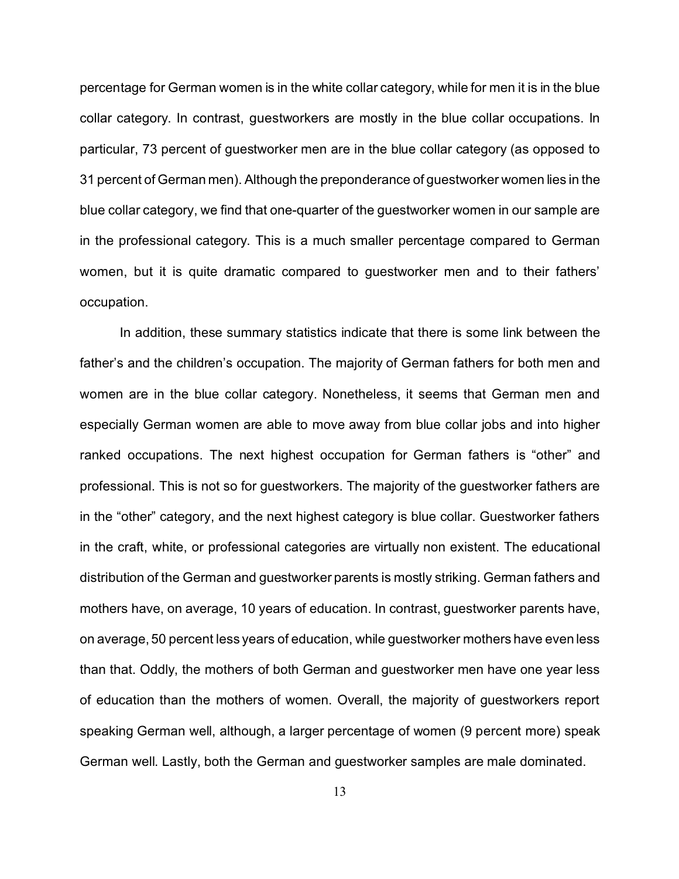percentage for German women is in the white collar category, while for men it is in the blue collar category. In contrast, guestworkers are mostly in the blue collar occupations. In particular, 73 percent of guestworker men are in the blue collar category (as opposed to 31 percent of German men). Although the preponderance of guestworker women lies in the blue collar category, we find that one-quarter of the guestworker women in our sample are in the professional category. This is a much smaller percentage compared to German women, but it is quite dramatic compared to guestworker men and to their fathers' occupation.

In addition, these summary statistics indicate that there is some link between the father's and the children's occupation. The majority of German fathers for both men and women are in the blue collar category. Nonetheless, it seems that German men and especially German women are able to move away from blue collar jobs and into higher ranked occupations. The next highest occupation for German fathers is "other" and professional. This is not so for guestworkers. The majority of the guestworker fathers are in the "other" category, and the next highest category is blue collar. Guestworker fathers in the craft, white, or professional categories are virtually non existent. The educational distribution of the German and guestworker parents is mostly striking. German fathers and mothers have, on average, 10 years of education. In contrast, guestworker parents have, on average, 50 percent less years of education, while guestworker mothers have even less than that. Oddly, the mothers of both German and guestworker men have one year less of education than the mothers of women. Overall, the majority of guestworkers report speaking German well, although, a larger percentage of women (9 percent more) speak German well. Lastly, both the German and guestworker samples are male dominated.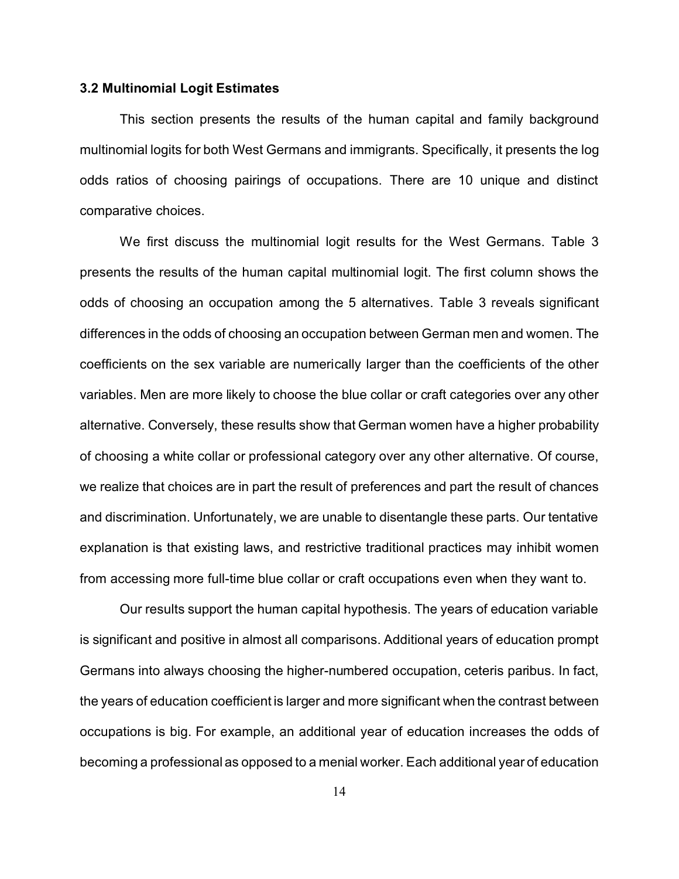#### **3.2 Multinomial Logit Estimates**

This section presents the results of the human capital and family background multinomial logits for both West Germans and immigrants. Specifically, it presents the log odds ratios of choosing pairings of occupations. There are 10 unique and distinct comparative choices.

We first discuss the multinomial logit results for the West Germans. Table 3 presents the results of the human capital multinomial logit. The first column shows the odds of choosing an occupation among the 5 alternatives. Table 3 reveals significant differences in the odds of choosing an occupation between German men and women. The coefficients on the sex variable are numerically larger than the coefficients of the other variables. Men are more likely to choose the blue collar or craft categories over any other alternative. Conversely, these results show that German women have a higher probability of choosing a white collar or professional category over any other alternative. Of course, we realize that choices are in part the result of preferences and part the result of chances and discrimination. Unfortunately, we are unable to disentangle these parts. Our tentative explanation is that existing laws, and restrictive traditional practices may inhibit women from accessing more full-time blue collar or craft occupations even when they want to.

Our results support the human capital hypothesis. The years of education variable is significant and positive in almost all comparisons. Additional years of education prompt Germans into always choosing the higher-numbered occupation, ceteris paribus. In fact, the years of education coefficient is larger and more significant when the contrast between occupations is big. For example, an additional year of education increases the odds of becoming a professional as opposed to a menial worker. Each additional year of education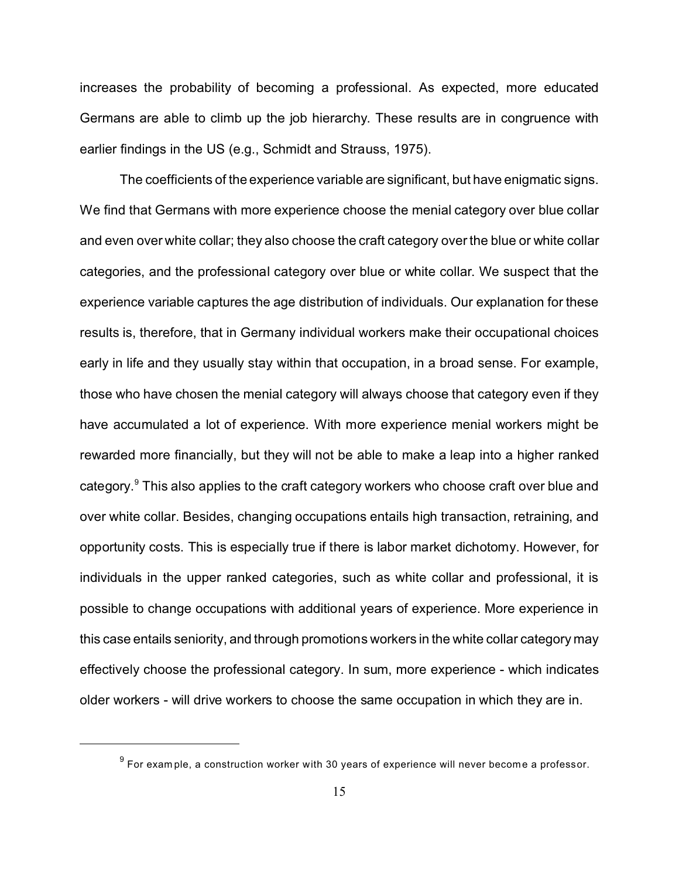increases the probability of becoming a professional. As expected, more educated Germans are able to climb up the job hierarchy. These results are in congruence with earlier findings in the US (e.g., Schmidt and Strauss, 1975).

The coefficients of the experience variable are significant, but have enigmatic signs. We find that Germans with more experience choose the menial category over blue collar and even over white collar; they also choose the craft category over the blue or white collar categories, and the professional category over blue or white collar. We suspect that the experience variable captures the age distribution of individuals. Our explanation for these results is, therefore, that in Germany individual workers make their occupational choices early in life and they usually stay within that occupation, in a broad sense. For example, those who have chosen the menial category will always choose that category even if they have accumulated a lot of experience. With more experience menial workers might be rewarded more financially, but they will not be able to make a leap into a higher ranked category.<sup>9</sup> This also applies to the craft category workers who choose craft over blue and over white collar. Besides, changing occupations entails high transaction, retraining, and opportunity costs. This is especially true if there is labor market dichotomy. However, for individuals in the upper ranked categories, such as white collar and professional, it is possible to change occupations with additional years of experience. More experience in this case entails seniority, and through promotions workers in the white collar category may effectively choose the professional category. In sum, more experience - which indicates older workers - will drive workers to choose the same occupation in which they are in.

 $^9$  For example, a construction worker with 30 years of experience will never become a professor.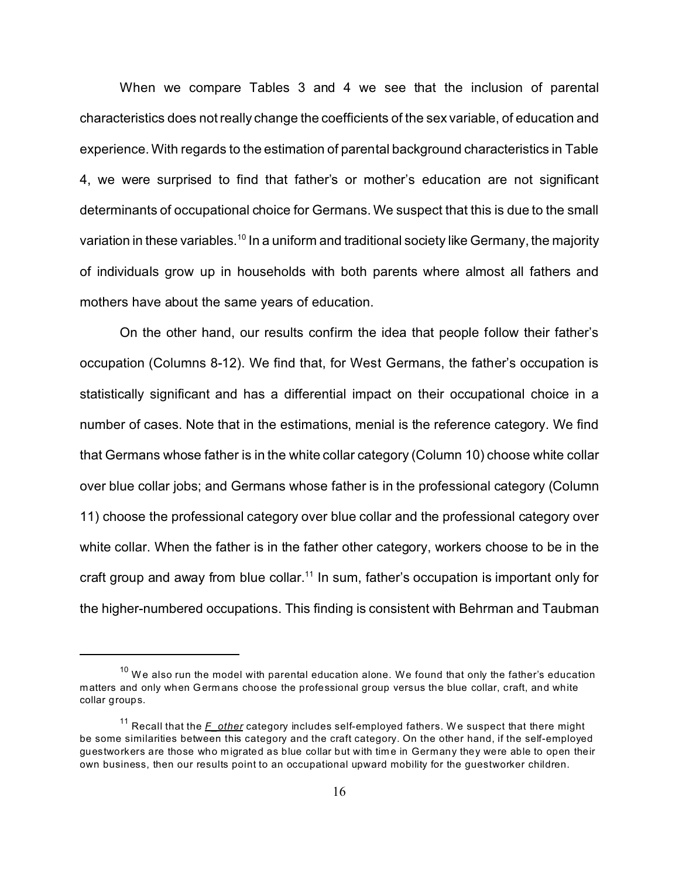When we compare Tables 3 and 4 we see that the inclusion of parental characteristics does not really change the coefficients of the sex variable, of education and experience. With regards to the estimation of parental background characteristics in Table 4, we were surprised to find that father's or mother's education are not significant determinants of occupational choice for Germans. We suspect that this is due to the small variation in these variables.<sup>10</sup> In a uniform and traditional society like Germany, the majority of individuals grow up in households with both parents where almost all fathers and mothers have about the same years of education.

On the other hand, our results confirm the idea that people follow their father's occupation (Columns 8-12). We find that, for West Germans, the father's occupation is statistically significant and has a differential impact on their occupational choice in a number of cases. Note that in the estimations, menial is the reference category. We find that Germans whose father is in the white collar category (Column 10) choose white collar over blue collar jobs; and Germans whose father is in the professional category (Column 11) choose the professional category over blue collar and the professional category over white collar. When the father is in the father other category, workers choose to be in the craft group and away from blue collar.<sup>11</sup> In sum, father's occupation is important only for the higher-numbered occupations. This finding is consistent with Behrman and Taubman

 $10$  We also run the model with parental education alone. We found that only the father's education matters and only when Germ ans choose the professional group versus the blue collar, craft, and white collar groups.

<sup>&</sup>lt;sup>11</sup> Recall that the *F\_other* category includes self-employed fathers. We suspect that there might be some similarities between this category and the craft category. On the other hand, if the self-employed guestworkers are those who migrated as blue collar but with time in Germany they were able to open their own business, then our results point to an occupational upward mobility for the guestworker children.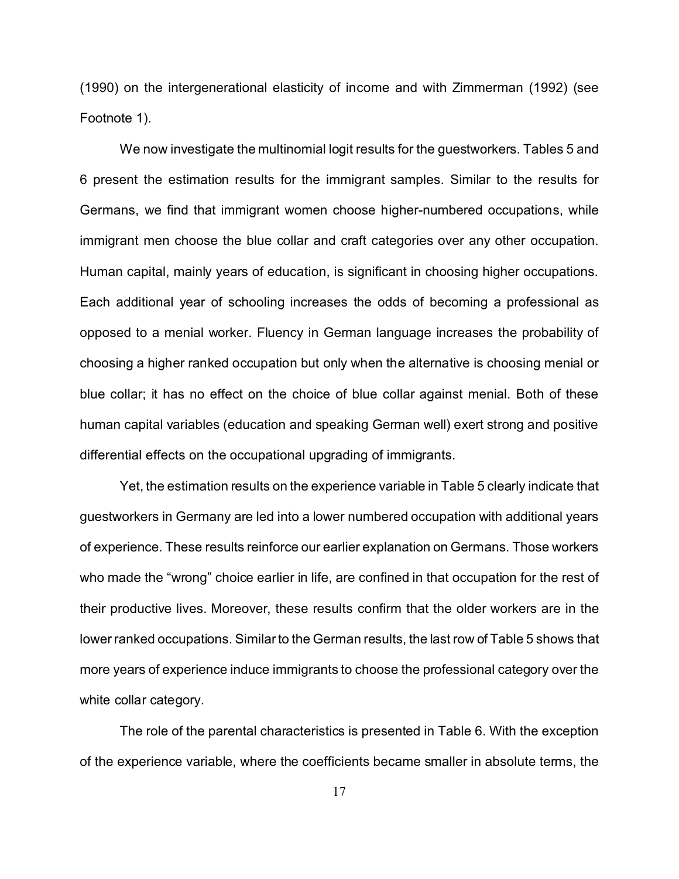(1990) on the intergenerational elasticity of income and with Zimmerman (1992) (see Footnote 1).

We now investigate the multinomial logit results for the guestworkers. Tables 5 and 6 present the estimation results for the immigrant samples. Similar to the results for Germans, we find that immigrant women choose higher-numbered occupations, while immigrant men choose the blue collar and craft categories over any other occupation. Human capital, mainly years of education, is significant in choosing higher occupations. Each additional year of schooling increases the odds of becoming a professional as opposed to a menial worker. Fluency in German language increases the probability of choosing a higher ranked occupation but only when the alternative is choosing menial or blue collar; it has no effect on the choice of blue collar against menial. Both of these human capital variables (education and speaking German well) exert strong and positive differential effects on the occupational upgrading of immigrants.

Yet, the estimation results on the experience variable in Table 5 clearly indicate that guestworkers in Germany are led into a lower numbered occupation with additional years of experience. These results reinforce our earlier explanation on Germans. Those workers who made the "wrong" choice earlier in life, are confined in that occupation for the rest of their productive lives. Moreover, these results confirm that the older workers are in the lower ranked occupations. Similar to the German results, the last row of Table 5 shows that more years of experience induce immigrants to choose the professional category over the white collar category.

The role of the parental characteristics is presented in Table 6. With the exception of the experience variable, where the coefficients became smaller in absolute terms, the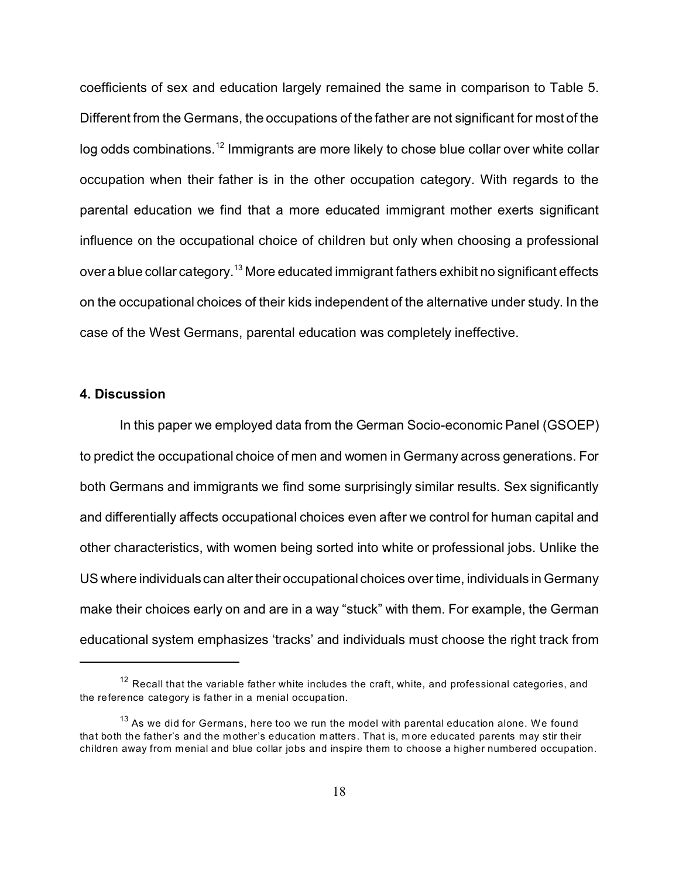coefficients of sex and education largely remained the same in comparison to Table 5. Different from the Germans, the occupations of the father are not significant for most of the log odds combinations.<sup>12</sup> Immigrants are more likely to chose blue collar over white collar occupation when their father is in the other occupation category. With regards to the parental education we find that a more educated immigrant mother exerts significant influence on the occupational choice of children but only when choosing a professional over a blue collar category.<sup>13</sup> More educated immigrant fathers exhibit no significant effects on the occupational choices of their kids independent of the alternative under study. In the case of the West Germans, parental education was completely ineffective.

#### **4. Discussion**

In this paper we employed data from the German Socio-economic Panel (GSOEP) to predict the occupational choice of men and women in Germany across generations. For both Germans and immigrants we find some surprisingly similar results. Sex significantly and differentially affects occupational choices even after we control for human capital and other characteristics, with women being sorted into white or professional jobs. Unlike the US where individuals can alter their occupational choices over time, individuals in Germany make their choices early on and are in a way "stuck" with them. For example, the German educational system emphasizes 'tracks' and individuals must choose the right track from

 $12$  Recall that the variable father white includes the craft, white, and professional categories, and the reference category is father in a menial occupation.

 $13$  As we did for Germans, here too we run the model with parental education alone. We found that both the father's and the mother's education matters. That is, more educated parents may stir their children away from menial and blue collar jobs and inspire them to choose a higher numbered occupation.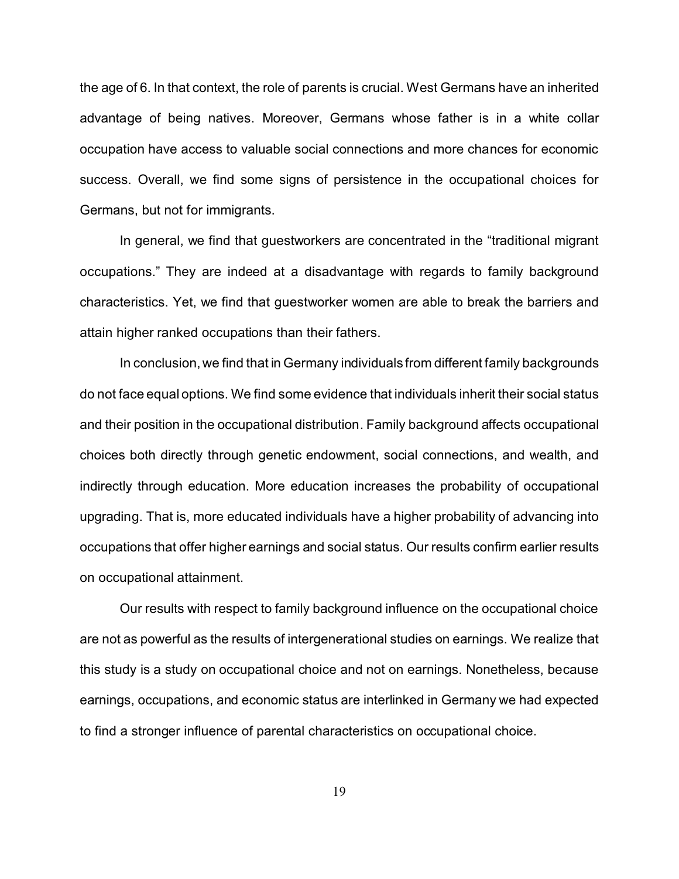the age of 6. In that context, the role of parents is crucial. West Germans have an inherited advantage of being natives. Moreover, Germans whose father is in a white collar occupation have access to valuable social connections and more chances for economic success. Overall, we find some signs of persistence in the occupational choices for Germans, but not for immigrants.

In general, we find that guestworkers are concentrated in the "traditional migrant occupations." They are indeed at a disadvantage with regards to family background characteristics. Yet, we find that guestworker women are able to break the barriers and attain higher ranked occupations than their fathers.

In conclusion, we find that in Germany individuals from different family backgrounds do not face equal options. We find some evidence that individuals inherit their social status and their position in the occupational distribution. Family background affects occupational choices both directly through genetic endowment, social connections, and wealth, and indirectly through education. More education increases the probability of occupational upgrading. That is, more educated individuals have a higher probability of advancing into occupations that offer higher earnings and social status. Our results confirm earlier results on occupational attainment.

Our results with respect to family background influence on the occupational choice are not as powerful as the results of intergenerational studies on earnings. We realize that this study is a study on occupational choice and not on earnings. Nonetheless, because earnings, occupations, and economic status are interlinked in Germany we had expected to find a stronger influence of parental characteristics on occupational choice.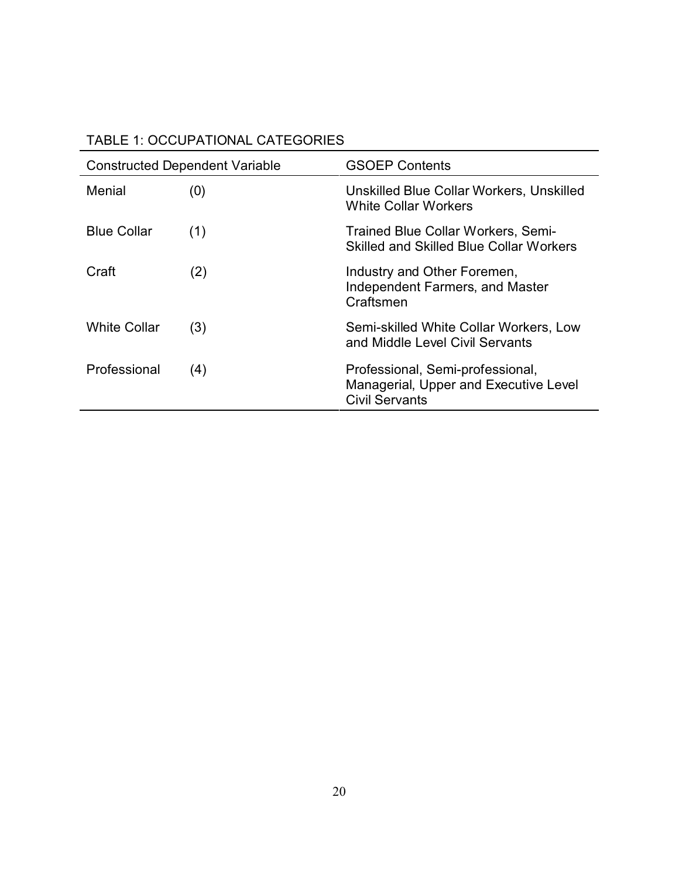| TABLE 1: OCCUPATIONAL CATEGORIES |  |
|----------------------------------|--|
|----------------------------------|--|

|                     | <b>Constructed Dependent Variable</b> | <b>GSOEP Contents</b>                                                                              |  |  |  |
|---------------------|---------------------------------------|----------------------------------------------------------------------------------------------------|--|--|--|
| Menial              | (0)                                   | Unskilled Blue Collar Workers, Unskilled<br>White Collar Workers                                   |  |  |  |
| <b>Blue Collar</b>  | (1)                                   | Trained Blue Collar Workers, Semi-<br><b>Skilled and Skilled Blue Collar Workers</b>               |  |  |  |
| Craft               | (2)                                   | Industry and Other Foremen,<br><b>Independent Farmers, and Master</b><br>Craftsmen                 |  |  |  |
| <b>White Collar</b> | (3)                                   | Semi-skilled White Collar Workers, Low<br>and Middle Level Civil Servants                          |  |  |  |
| Professional        | (4)                                   | Professional, Semi-professional,<br>Managerial, Upper and Executive Level<br><b>Civil Servants</b> |  |  |  |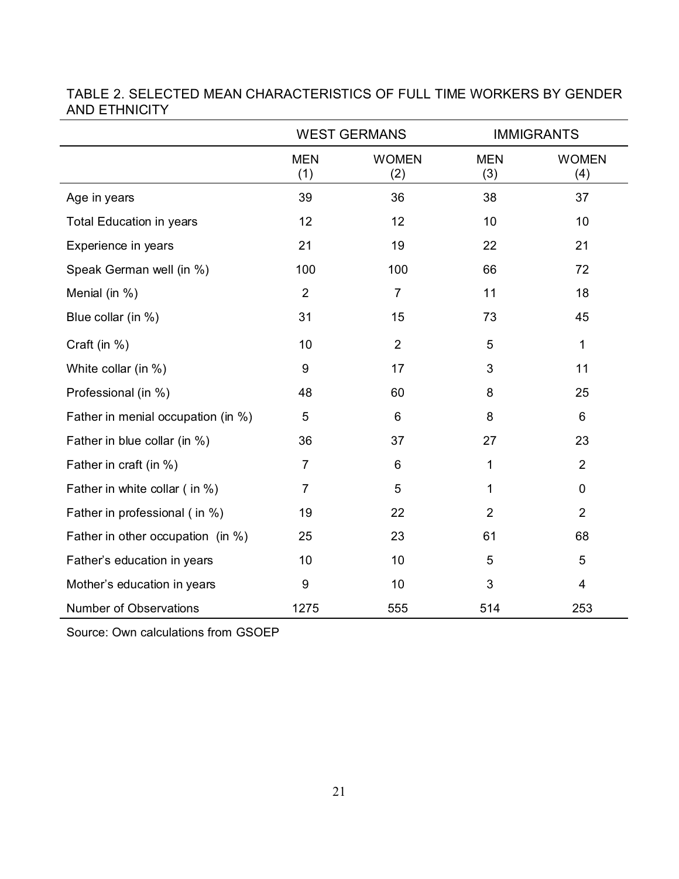|                                    |                   | <b>WEST GERMANS</b> |                   | <b>IMMIGRANTS</b>   |
|------------------------------------|-------------------|---------------------|-------------------|---------------------|
|                                    | <b>MEN</b><br>(1) | <b>WOMEN</b><br>(2) | <b>MEN</b><br>(3) | <b>WOMEN</b><br>(4) |
| Age in years                       | 39                | 36                  | 38                | 37                  |
| <b>Total Education in years</b>    | 12                | 12                  | 10                | 10                  |
| Experience in years                | 21                | 19                  | 22                | 21                  |
| Speak German well (in %)           | 100               | 100                 | 66                | 72                  |
| Menial (in %)                      | $\overline{2}$    | $\overline{7}$      | 11                | 18                  |
| Blue collar (in %)                 | 31                | 15                  | 73                | 45                  |
| Craft (in %)                       | 10                | $\overline{2}$      | 5                 | 1                   |
| White collar (in %)                | 9                 | 17                  | 3                 | 11                  |
| Professional (in %)                | 48                | 60                  | 8                 | 25                  |
| Father in menial occupation (in %) | 5                 | 6                   | 8                 | 6                   |
| Father in blue collar (in %)       | 36                | 37                  | 27                | 23                  |
| Father in craft (in %)             | $\overline{7}$    | 6                   | 1                 | $\overline{2}$      |
| Father in white collar (in %)      | $\overline{7}$    | 5                   | $\mathbf{1}$      | $\mathbf 0$         |
| Father in professional (in %)      | 19                | 22                  | $\overline{2}$    | $\overline{2}$      |
| Father in other occupation (in %)  | 25                | 23                  | 61                | 68                  |
| Father's education in years        | 10                | 10                  | 5                 | 5                   |
| Mother's education in years        | 9                 | 10                  | 3                 | 4                   |
| <b>Number of Observations</b>      | 1275              | 555                 | 514               | 253                 |

### TABLE 2. SELECTED MEAN CHARACTERISTICS OF FULL TIME WORKERS BY GENDER AND ETHNICITY

Source: Own calculations from GSOEP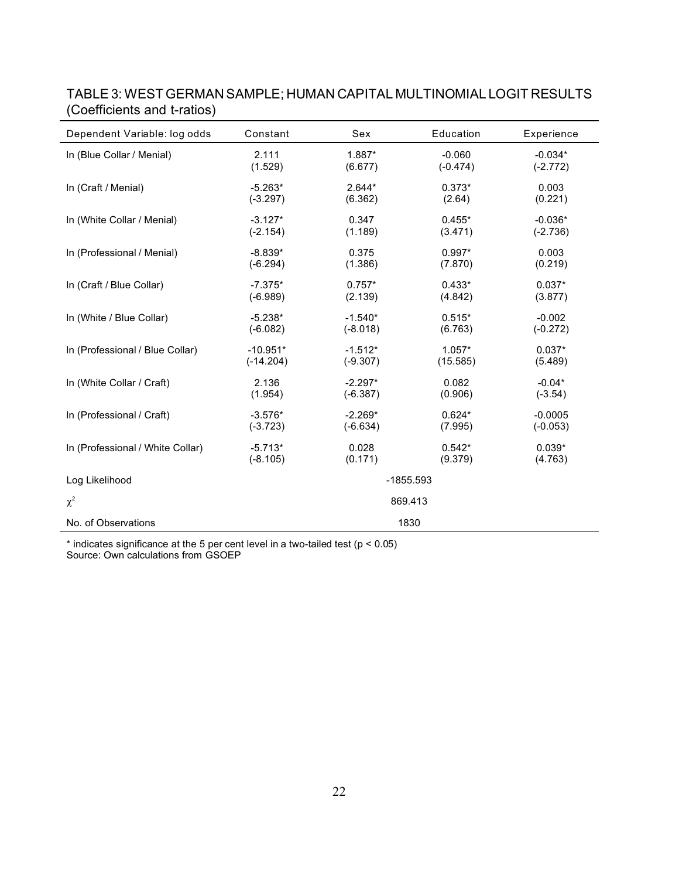| Dependent Variable: log odds     | Constant    | Sex        | Education   | Experience |
|----------------------------------|-------------|------------|-------------|------------|
| In (Blue Collar / Menial)        | 2.111       | 1.887*     | $-0.060$    | $-0.034*$  |
|                                  | (1.529)     | (6.677)    | $(-0.474)$  | $(-2.772)$ |
| In (Craft / Menial)              | $-5.263*$   | $2.644*$   | $0.373*$    | 0.003      |
|                                  | $(-3.297)$  | (6.362)    | (2.64)      | (0.221)    |
| In (White Collar / Menial)       | $-3.127*$   | 0.347      | $0.455*$    | $-0.036*$  |
|                                  | $(-2.154)$  | (1.189)    | (3.471)     | $(-2.736)$ |
| In (Professional / Menial)       | $-8.839*$   | 0.375      | $0.997*$    | 0.003      |
|                                  | $(-6.294)$  | (1.386)    | (7.870)     | (0.219)    |
| In (Craft / Blue Collar)         | $-7.375*$   | $0.757*$   | $0.433*$    | $0.037*$   |
|                                  | $(-6.989)$  | (2.139)    | (4.842)     | (3.877)    |
| In (White / Blue Collar)         | $-5.238*$   | $-1.540*$  | $0.515*$    | $-0.002$   |
|                                  | $(-6.082)$  | $(-8.018)$ | (6.763)     | $(-0.272)$ |
| In (Professional / Blue Collar)  | $-10.951*$  | $-1.512*$  | $1.057*$    | $0.037*$   |
|                                  | $(-14.204)$ | $(-9.307)$ | (15.585)    | (5.489)    |
| In (White Collar / Craft)        | 2.136       | $-2.297*$  | 0.082       | $-0.04*$   |
|                                  | (1.954)     | $(-6.387)$ | (0.906)     | $(-3.54)$  |
| In (Professional / Craft)        | $-3.576*$   | $-2.269*$  | $0.624*$    | $-0.0005$  |
|                                  | $(-3.723)$  | $(-6.634)$ | (7.995)     | $(-0.053)$ |
| In (Professional / White Collar) | $-5.713*$   | 0.028      | $0.542*$    | $0.039*$   |
|                                  | $(-8.105)$  | (0.171)    | (9.379)     | (4.763)    |
| Log Likelihood                   |             |            | $-1855.593$ |            |
| $\chi^2$                         |             |            | 869.413     |            |
| No. of Observations              |             |            | 1830        |            |

## TABLE 3: WEST GERMAN SAMPLE; HUMAN CAPITAL MULTINOMIAL LOGIT RESULTS (Coefficients and t-ratios)

\* indicates significance at the 5 per cent level in a two-tailed test (p < 0.05) Source: Own calculations from GSOEP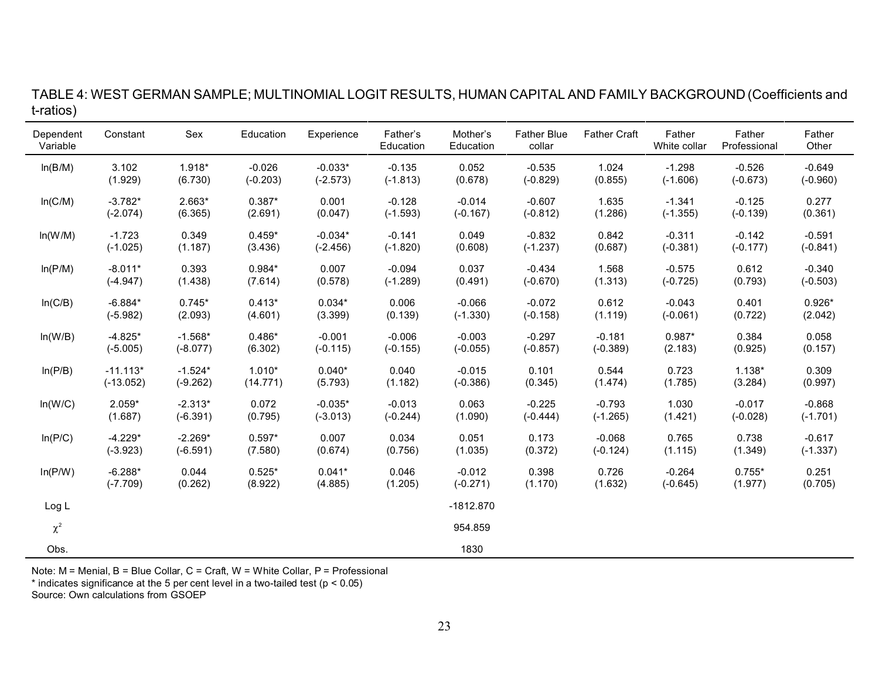| TABLE 4: WEST GERMAN SAMPLE; MULTINOMIAL LOGIT RESULTS, HUMAN CAPITAL AND FAMILY BACKGROUND (Coefficients and |  |  |  |  |  |  |
|---------------------------------------------------------------------------------------------------------------|--|--|--|--|--|--|
| t-ratios)                                                                                                     |  |  |  |  |  |  |

| Dependent<br>Variable | Constant    | Sex        | Education  | Experience | Father's<br>Education | Mother's<br>Education | <b>Father Blue</b><br>collar | <b>Father Craft</b> | Father<br>White collar | Father<br>Professional | Father<br>Other |
|-----------------------|-------------|------------|------------|------------|-----------------------|-----------------------|------------------------------|---------------------|------------------------|------------------------|-----------------|
| ln(B/M)               | 3.102       | 1.918*     | $-0.026$   | $-0.033*$  | $-0.135$              | 0.052                 | $-0.535$                     | 1.024               | $-1.298$               | $-0.526$               | $-0.649$        |
|                       | (1.929)     | (6.730)    | $(-0.203)$ | $(-2.573)$ | $(-1.813)$            | (0.678)               | $(-0.829)$                   | (0.855)             | $(-1.606)$             | $(-0.673)$             | $(-0.960)$      |
| In(C/M)               | $-3.782*$   | $2.663*$   | $0.387*$   | 0.001      | $-0.128$              | $-0.014$              | $-0.607$                     | 1.635               | $-1.341$               | $-0.125$               | 0.277           |
|                       | $(-2.074)$  | (6.365)    | (2.691)    | (0.047)    | $(-1.593)$            | $(-0.167)$            | $(-0.812)$                   | (1.286)             | $(-1.355)$             | $(-0.139)$             | (0.361)         |
| ln(W/M)               | $-1.723$    | 0.349      | $0.459*$   | $-0.034*$  | $-0.141$              | 0.049                 | $-0.832$                     | 0.842               | $-0.311$               | $-0.142$               | $-0.591$        |
|                       | $(-1.025)$  | (1.187)    | (3.436)    | $(-2.456)$ | $(-1.820)$            | (0.608)               | $(-1.237)$                   | (0.687)             | $(-0.381)$             | $(-0.177)$             | $(-0.841)$      |
| ln(P/M)               | $-8.011*$   | 0.393      | $0.984*$   | 0.007      | $-0.094$              | 0.037                 | $-0.434$                     | 1.568               | $-0.575$               | 0.612                  | $-0.340$        |
|                       | $(-4.947)$  | (1.438)    | (7.614)    | (0.578)    | $(-1.289)$            | (0.491)               | $(-0.670)$                   | (1.313)             | $(-0.725)$             | (0.793)                | $(-0.503)$      |
| In(C/B)               | $-6.884*$   | $0.745*$   | $0.413*$   | $0.034*$   | 0.006                 | $-0.066$              | $-0.072$                     | 0.612               | $-0.043$               | 0.401                  | $0.926*$        |
|                       | $(-5.982)$  | (2.093)    | (4.601)    | (3.399)    | (0.139)               | $(-1.330)$            | $(-0.158)$                   | (1.119)             | $(-0.061)$             | (0.722)                | (2.042)         |
| ln(W/B)               | $-4.825*$   | $-1.568*$  | $0.486*$   | $-0.001$   | $-0.006$              | $-0.003$              | $-0.297$                     | $-0.181$            | $0.987*$               | 0.384                  | 0.058           |
|                       | $(-5.005)$  | $(-8.077)$ | (6.302)    | $(-0.115)$ | $(-0.155)$            | $(-0.055)$            | $(-0.857)$                   | $(-0.389)$          | (2.183)                | (0.925)                | (0.157)         |
| ln(P/B)               | $-11.113*$  | $-1.524*$  | $1.010*$   | $0.040*$   | 0.040                 | $-0.015$              | 0.101                        | 0.544               | 0.723                  | $1.138*$               | 0.309           |
|                       | $(-13.052)$ | $(-9.262)$ | (14.771)   | (5.793)    | (1.182)               | $(-0.386)$            | (0.345)                      | (1.474)             | (1.785)                | (3.284)                | (0.997)         |
| ln(W/C)               | $2.059*$    | $-2.313*$  | 0.072      | $-0.035*$  | $-0.013$              | 0.063                 | $-0.225$                     | $-0.793$            | 1.030                  | $-0.017$               | $-0.868$        |
|                       | (1.687)     | $(-6.391)$ | (0.795)    | $(-3.013)$ | $(-0.244)$            | (1.090)               | $(-0.444)$                   | $(-1.265)$          | (1.421)                | $(-0.028)$             | $(-1.701)$      |
| In(P/C)               | $-4.229*$   | $-2.269*$  | $0.597*$   | 0.007      | 0.034                 | 0.051                 | 0.173                        | $-0.068$            | 0.765                  | 0.738                  | $-0.617$        |
|                       | $(-3.923)$  | $(-6.591)$ | (7.580)    | (0.674)    | (0.756)               | (1.035)               | (0.372)                      | $(-0.124)$          | (1.115)                | (1.349)                | $(-1.337)$      |
| In(P/W)               | $-6.288*$   | 0.044      | $0.525*$   | $0.041*$   | 0.046                 | $-0.012$              | 0.398                        | 0.726               | $-0.264$               | $0.755*$               | 0.251           |
|                       | $(-7.709)$  | (0.262)    | (8.922)    | (4.885)    | (1.205)               | $(-0.271)$            | (1.170)                      | (1.632)             | $(-0.645)$             | (1.977)                | (0.705)         |
| Log L                 |             |            |            |            |                       | $-1812.870$           |                              |                     |                        |                        |                 |
| $\chi^2$              |             |            |            |            |                       | 954.859               |                              |                     |                        |                        |                 |
| Obs.                  |             |            |            |            |                       | 1830                  |                              |                     |                        |                        |                 |

Note: M = Menial, B = Blue Collar, C = Craft, W = White Collar, P = Professional

\* indicates significance at the 5 per cent level in a two-tailed test (p < 0.05)

Source: Own calculations from GSOEP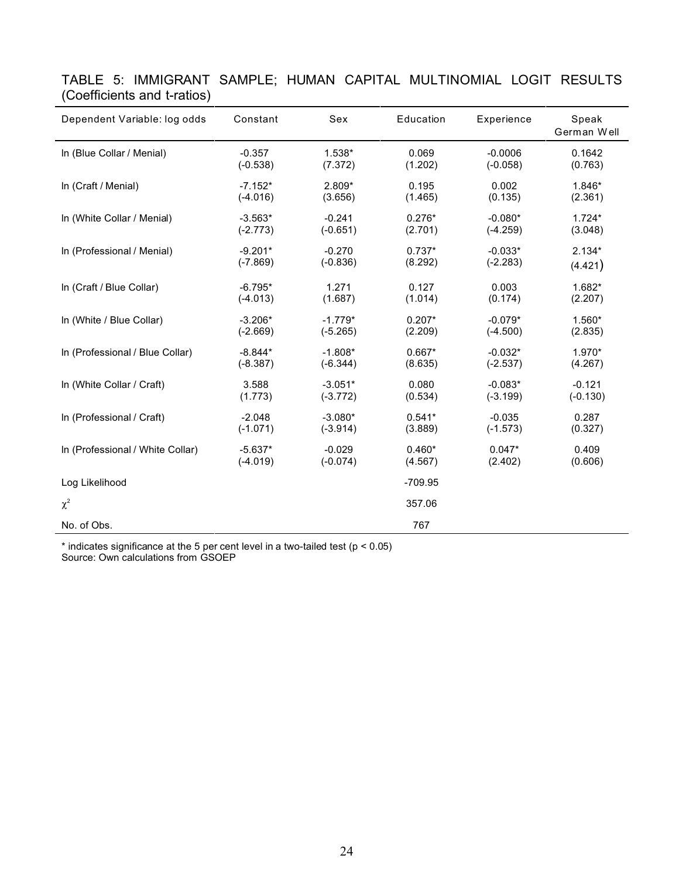| Dependent Variable: log odds     | Constant   | Sex        | Education | Experience | Speak<br>German Well |
|----------------------------------|------------|------------|-----------|------------|----------------------|
| In (Blue Collar / Menial)        | $-0.357$   | 1.538*     | 0.069     | $-0.0006$  | 0.1642               |
|                                  | $(-0.538)$ | (7.372)    | (1.202)   | $(-0.058)$ | (0.763)              |
| In (Craft / Menial)              | $-7.152*$  | 2.809*     | 0.195     | 0.002      | 1.846*               |
|                                  | $(-4.016)$ | (3.656)    | (1.465)   | (0.135)    | (2.361)              |
| In (White Collar / Menial)       | $-3.563*$  | $-0.241$   | $0.276*$  | $-0.080*$  | $1.724*$             |
|                                  | $(-2.773)$ | $(-0.651)$ | (2.701)   | $(-4.259)$ | (3.048)              |
| In (Professional / Menial)       | $-9.201*$  | $-0.270$   | $0.737*$  | $-0.033*$  | $2.134*$             |
|                                  | $(-7.869)$ | $(-0.836)$ | (8.292)   | $(-2.283)$ | (4.421)              |
| In (Craft / Blue Collar)         | $-6.795*$  | 1.271      | 0.127     | 0.003      | 1.682*               |
|                                  | $(-4.013)$ | (1.687)    | (1.014)   | (0.174)    | (2.207)              |
| In (White / Blue Collar)         | $-3.206*$  | $-1.779*$  | $0.207*$  | $-0.079*$  | $1.560*$             |
|                                  | $(-2.669)$ | $(-5.265)$ | (2.209)   | $(-4.500)$ | (2.835)              |
| In (Professional / Blue Collar)  | $-8.844*$  | $-1.808*$  | $0.667*$  | $-0.032*$  | 1.970*               |
|                                  | $(-8.387)$ | $(-6.344)$ | (8.635)   | $(-2.537)$ | (4.267)              |
| In (White Collar / Craft)        | 3.588      | $-3.051*$  | 0.080     | $-0.083*$  | $-0.121$             |
|                                  | (1.773)    | $(-3.772)$ | (0.534)   | $(-3.199)$ | $(-0.130)$           |
| In (Professional / Craft)        | $-2.048$   | $-3.080*$  | $0.541*$  | $-0.035$   | 0.287                |
|                                  | $(-1.071)$ | $(-3.914)$ | (3.889)   | $(-1.573)$ | (0.327)              |
| In (Professional / White Collar) | $-5.637*$  | $-0.029$   | $0.460*$  | $0.047*$   | 0.409                |
|                                  | $(-4.019)$ | $(-0.074)$ | (4.567)   | (2.402)    | (0.606)              |
| Log Likelihood                   |            |            | $-709.95$ |            |                      |
| $\chi^2$                         |            |            | 357.06    |            |                      |
| No. of Obs.                      |            |            | 767       |            |                      |

TABLE 5: IMMIGRANT SAMPLE; HUMAN CAPITAL MULTINOMIAL LOGIT RESULTS (Coefficients and t-ratios)

\* indicates significance at the 5 per cent level in a two-tailed test (p < 0.05) Source: Own calculations from GSOEP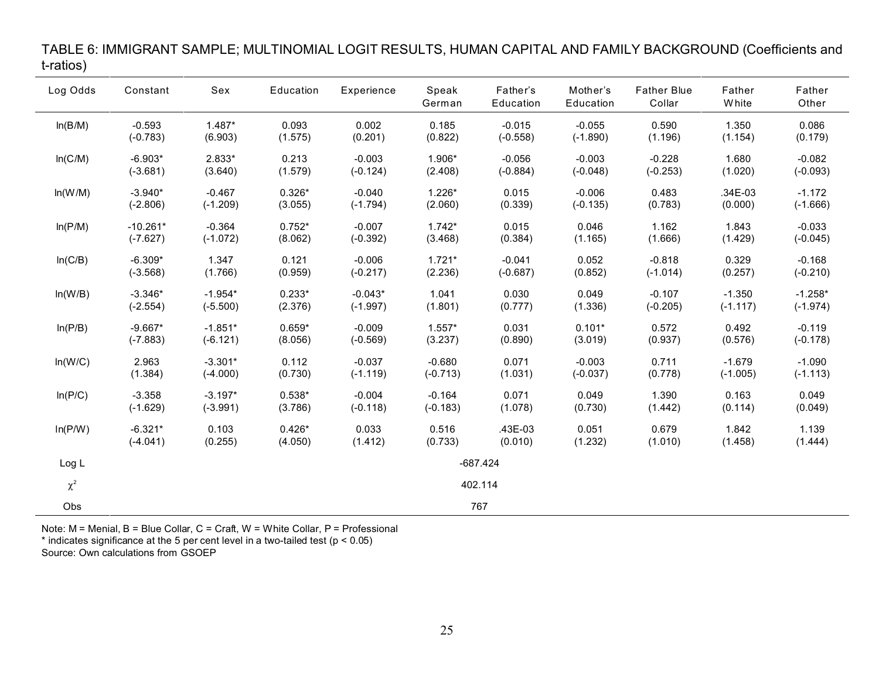| Log Odds | Constant   | Sex        | Education | Experience | Speak<br>German | Father's<br>Education | Mother's<br>Education | <b>Father Blue</b><br>Collar | Father<br><b>White</b> | Father<br>Other |
|----------|------------|------------|-----------|------------|-----------------|-----------------------|-----------------------|------------------------------|------------------------|-----------------|
| ln(B/M)  | $-0.593$   | $1.487*$   | 0.093     | 0.002      | 0.185           | $-0.015$              | $-0.055$              | 0.590                        | 1.350                  | 0.086           |
|          | $(-0.783)$ | (6.903)    | (1.575)   | (0.201)    | (0.822)         | $(-0.558)$            | $(-1.890)$            | (1.196)                      | (1.154)                | (0.179)         |
| In(C/M)  | $-6.903*$  | 2.833*     | 0.213     | $-0.003$   | 1.906*          | $-0.056$              | $-0.003$              | $-0.228$                     | 1.680                  | $-0.082$        |
|          | $(-3.681)$ | (3.640)    | (1.579)   | $(-0.124)$ | (2.408)         | $(-0.884)$            | $(-0.048)$            | $(-0.253)$                   | (1.020)                | $(-0.093)$      |
| ln(W/M)  | $-3.940*$  | $-0.467$   | $0.326*$  | $-0.040$   | $1.226*$        | 0.015                 | $-0.006$              | 0.483                        | $.34E-03$              | $-1.172$        |
|          | $(-2.806)$ | $(-1.209)$ | (3.055)   | $(-1.794)$ | (2.060)         | (0.339)               | $(-0.135)$            | (0.783)                      | (0.000)                | $(-1.666)$      |
| In(P/M)  | $-10.261*$ | $-0.364$   | $0.752*$  | $-0.007$   | $1.742*$        | 0.015                 | 0.046                 | 1.162                        | 1.843                  | $-0.033$        |
|          | $(-7.627)$ | $(-1.072)$ | (8.062)   | $(-0.392)$ | (3.468)         | (0.384)               | (1.165)               | (1.666)                      | (1.429)                | $(-0.045)$      |
| In(C/B)  | $-6.309*$  | 1.347      | 0.121     | $-0.006$   | $1.721*$        | $-0.041$              | 0.052                 | $-0.818$                     | 0.329                  | $-0.168$        |
|          | $(-3.568)$ | (1.766)    | (0.959)   | $(-0.217)$ | (2.236)         | $(-0.687)$            | (0.852)               | $(-1.014)$                   | (0.257)                | $(-0.210)$      |
| ln(W/B)  | $-3.346*$  | $-1.954*$  | $0.233*$  | $-0.043*$  | 1.041           | 0.030                 | 0.049                 | $-0.107$                     | $-1.350$               | $-1.258*$       |
|          | $(-2.554)$ | $(-5.500)$ | (2.376)   | $(-1.997)$ | (1.801)         | (0.777)               | (1.336)               | $(-0.205)$                   | $(-1.117)$             | $(-1.974)$      |
| ln(P/B)  | $-9.667*$  | $-1.851*$  | $0.659*$  | $-0.009$   | $1.557*$        | 0.031                 | $0.101*$              | 0.572                        | 0.492                  | $-0.119$        |
|          | $(-7.883)$ | $(-6.121)$ | (8.056)   | $(-0.569)$ | (3.237)         | (0.890)               | (3.019)               | (0.937)                      | (0.576)                | $(-0.178)$      |
| ln(W/C)  | 2.963      | $-3.301*$  | 0.112     | $-0.037$   | $-0.680$        | 0.071                 | $-0.003$              | 0.711                        | $-1.679$               | $-1.090$        |
|          | (1.384)    | $(-4.000)$ | (0.730)   | $(-1.119)$ | $(-0.713)$      | (1.031)               | $(-0.037)$            | (0.778)                      | $(-1.005)$             | $(-1.113)$      |
| In( P/C) | $-3.358$   | $-3.197*$  | $0.538*$  | $-0.004$   | $-0.164$        | 0.071                 | 0.049                 | 1.390                        | 0.163                  | 0.049           |
|          | $(-1.629)$ | $(-3.991)$ | (3.786)   | $(-0.118)$ | $(-0.183)$      | (1.078)               | (0.730)               | (1.442)                      | (0.114)                | (0.049)         |
| In(P/W)  | $-6.321*$  | 0.103      | $0.426*$  | 0.033      | 0.516           | .43E-03               | 0.051                 | 0.679                        | 1.842                  | 1.139           |
|          | $(-4.041)$ | (0.255)    | (4.050)   | (1.412)    | (0.733)         | (0.010)               | (1.232)               | (1.010)                      | (1.458)                | (1.444)         |
| Log L    | $-687.424$ |            |           |            |                 |                       |                       |                              |                        |                 |
| $\chi^2$ |            |            |           |            |                 | 402.114               |                       |                              |                        |                 |
| Obs      |            |            |           |            |                 | 767                   |                       |                              |                        |                 |

#### TABLE 6: IMMIGRANT SAMPLE; MULTINOMIAL LOGIT RESULTS, HUMAN CAPITAL AND FAMILY BACKGROUND (Coefficients and t-ratios)

Note: M = Menial, B = Blue Collar, C = Craft, W = White Collar, P = Professional

\* indicates significance at the 5 per cent level in a two-tailed test  $(p < 0.05)$ 

Source: Own calculations from GSOEP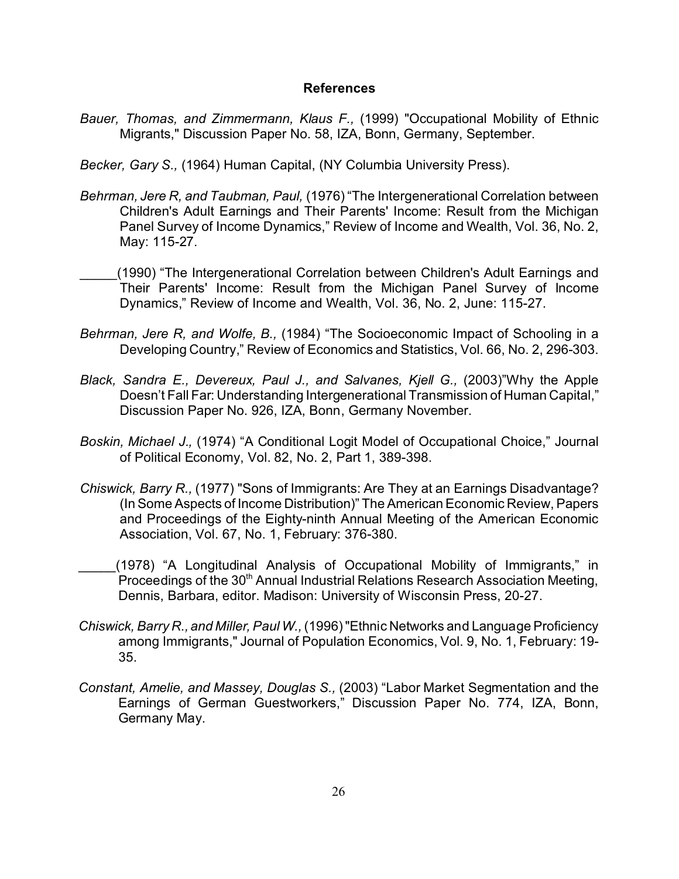#### **References**

*Bauer, Thomas, and Zimmermann, Klaus F.,* (1999) "Occupational Mobility of Ethnic Migrants," Discussion Paper No. 58, IZA, Bonn, Germany, September.

*Becker, Gary S.,* (1964) Human Capital, (NY Columbia University Press).

- *Behrman, Jere R, and Taubman, Paul,* (1976) "The Intergenerational Correlation between Children's Adult Earnings and Their Parents' Income: Result from the Michigan Panel Survey of Income Dynamics," Review of Income and Wealth, Vol. 36, No. 2, May: 115-27.
- \_\_\_\_\_(1990) "The Intergenerational Correlation between Children's Adult Earnings and Their Parents' Income: Result from the Michigan Panel Survey of Income Dynamics," Review of Income and Wealth, Vol. 36, No. 2, June: 115-27.
- *Behrman, Jere R, and Wolfe, B.,* (1984) "The Socioeconomic Impact of Schooling in a Developing Country," Review of Economics and Statistics, Vol. 66, No. 2, 296-303.
- *Black, Sandra E., Devereux, Paul J., and Salvanes, Kjell G.,* (2003)"Why the Apple Doesn't Fall Far: Understanding Intergenerational Transmission of Human Capital," Discussion Paper No. 926, IZA, Bonn, Germany November.
- *Boskin, Michael J.,* (1974) "A Conditional Logit Model of Occupational Choice," Journal of Political Economy, Vol. 82, No. 2, Part 1, 389-398.
- *Chiswick, Barry R.,* (1977) "Sons of Immigrants: Are They at an Earnings Disadvantage? (In Some Aspects of Income Distribution)" The American Economic Review, Papers and Proceedings of the Eighty-ninth Annual Meeting of the American Economic Association, Vol. 67, No. 1, February: 376-380.
- \_\_\_\_\_(1978) "A Longitudinal Analysis of Occupational Mobility of Immigrants," in Proceedings of the 30<sup>th</sup> Annual Industrial Relations Research Association Meeting, Dennis, Barbara, editor. Madison: University of Wisconsin Press, 20-27.
- *Chiswick, Barry R., and Miller, Paul W.,* (1996) "Ethnic Networks and Language Proficiency among Immigrants," Journal of Population Economics, Vol. 9, No. 1, February: 19- 35.
- *Constant, Amelie, and Massey, Douglas S.,* (2003) "Labor Market Segmentation and the Earnings of German Guestworkers," Discussion Paper No. 774, IZA, Bonn, Germany May.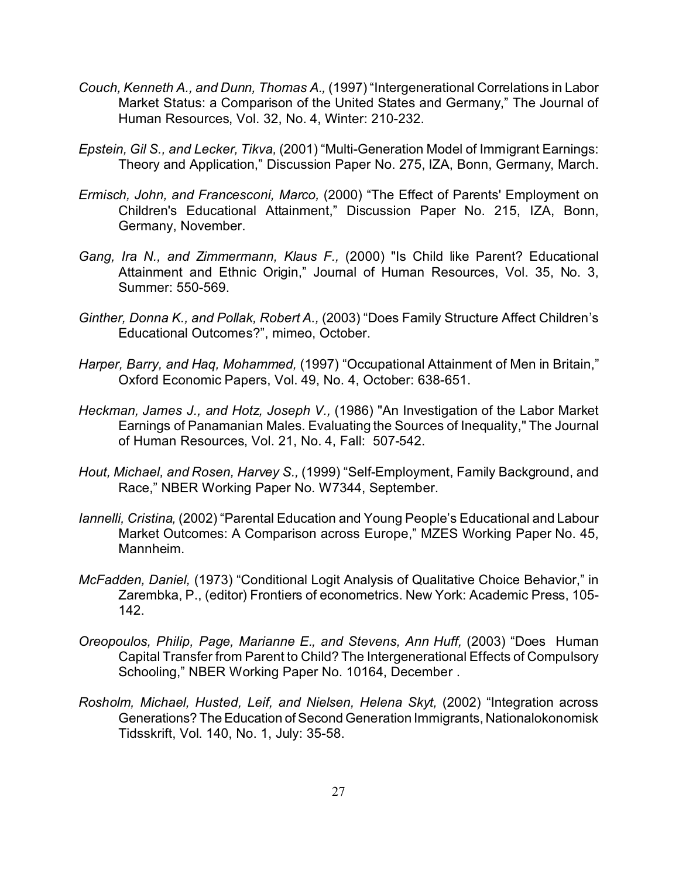- *Couch, Kenneth A., and Dunn, Thomas A.,* (1997) "Intergenerational Correlations in Labor Market Status: a Comparison of the United States and Germany," The Journal of Human Resources, Vol. 32, No. 4, Winter: 210-232.
- *Epstein, Gil S., and Lecker, Tikva,* (2001) "Multi-Generation Model of Immigrant Earnings: Theory and Application," Discussion Paper No. 275, IZA, Bonn, Germany, March.
- *Ermisch, John, and Francesconi, Marco,* (2000) "The Effect of Parents' Employment on Children's Educational Attainment," Discussion Paper No. 215, IZA, Bonn, Germany, November.
- *Gang, Ira N., and Zimmermann, Klaus F.,* (2000) "Is Child like Parent? Educational Attainment and Ethnic Origin," Journal of Human Resources, Vol. 35, No. 3, Summer: 550-569.
- *Ginther, Donna K., and Pollak, Robert A.,* (2003) "Does Family Structure Affect Children's Educational Outcomes?", mimeo, October.
- *Harper, Barry, and Haq, Mohammed,* (1997) "Occupational Attainment of Men in Britain," Oxford Economic Papers, Vol. 49, No. 4, October: 638-651.
- *Heckman, James J., and Hotz, Joseph V.,* (1986) "An Investigation of the Labor Market Earnings of Panamanian Males. Evaluating the Sources of Inequality," The Journal of Human Resources, Vol. 21, No. 4, Fall: 507-542.
- *Hout, Michael, and Rosen, Harvey S.,* (1999) "Self-Employment, Family Background, and Race," NBER Working Paper No. W7344, September.
- *Iannelli, Cristina,* (2002) "Parental Education and Young People's Educational and Labour Market Outcomes: A Comparison across Europe," MZES Working Paper No. 45, Mannheim.
- *McFadden, Daniel,* (1973) "Conditional Logit Analysis of Qualitative Choice Behavior," in Zarembka, P., (editor) Frontiers of econometrics. New York: Academic Press, 105- 142.
- *Oreopoulos, Philip, Page, Marianne E., and Stevens, Ann Huff,* (2003) "Does Human Capital Transfer from Parent to Child? The Intergenerational Effects of Compulsory Schooling," NBER Working Paper No. 10164, December .
- *Rosholm, Michael, Husted, Leif, and Nielsen, Helena Skyt,* (2002) "Integration across Generations? The Education of Second Generation Immigrants, Nationalokonomisk Tidsskrift, Vol. 140, No. 1, July: 35-58.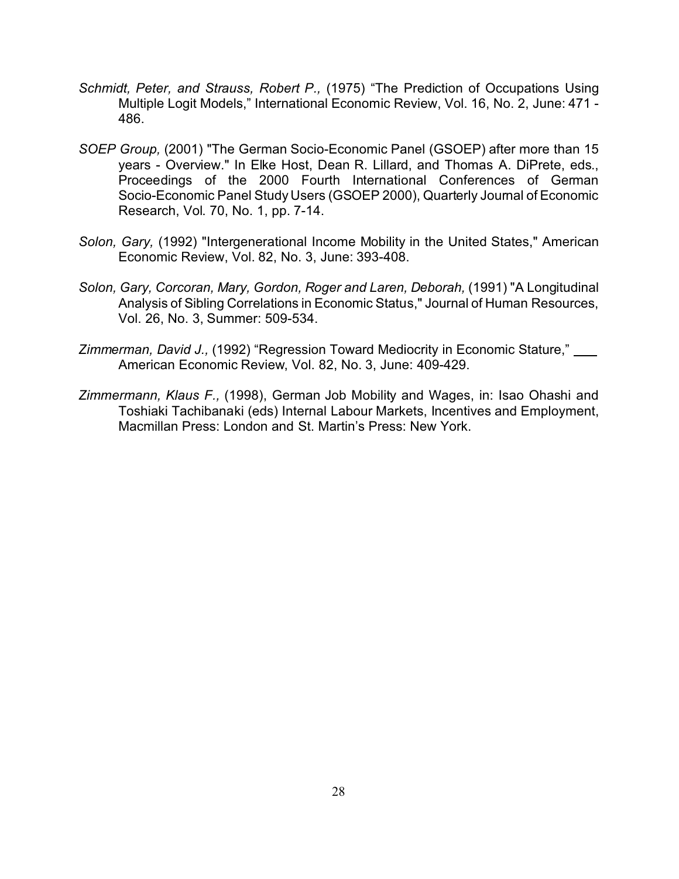- *Schmidt, Peter, and Strauss, Robert P.,* (1975) "The Prediction of Occupations Using Multiple Logit Models," International Economic Review, Vol. 16, No. 2, June: 471 - 486.
- *SOEP Group,* (2001) "The German Socio-Economic Panel (GSOEP) after more than 15 years - Overview." In Elke Host, Dean R. Lillard, and Thomas A. DiPrete, eds., Proceedings of the 2000 Fourth International Conferences of German Socio-Economic Panel Study Users (GSOEP 2000), Quarterly Journal of Economic Research, Vol. 70, No. 1, pp. 7-14.
- *Solon, Gary,* (1992) "Intergenerational Income Mobility in the United States," American Economic Review, Vol. 82, No. 3, June: 393-408.
- *Solon, Gary, Corcoran, Mary, Gordon, Roger and Laren, Deborah,* (1991) "A Longitudinal Analysis of Sibling Correlations in Economic Status," Journal of Human Resources, Vol. 26, No. 3, Summer: 509-534.
- *Zimmerman, David J.,* (1992) "Regression Toward Mediocrity in Economic Stature," American Economic Review, Vol. 82, No. 3, June: 409-429.
- *Zimmermann, Klaus F.,* (1998), German Job Mobility and Wages, in: Isao Ohashi and Toshiaki Tachibanaki (eds) Internal Labour Markets, Incentives and Employment, Macmillan Press: London and St. Martin's Press: New York.